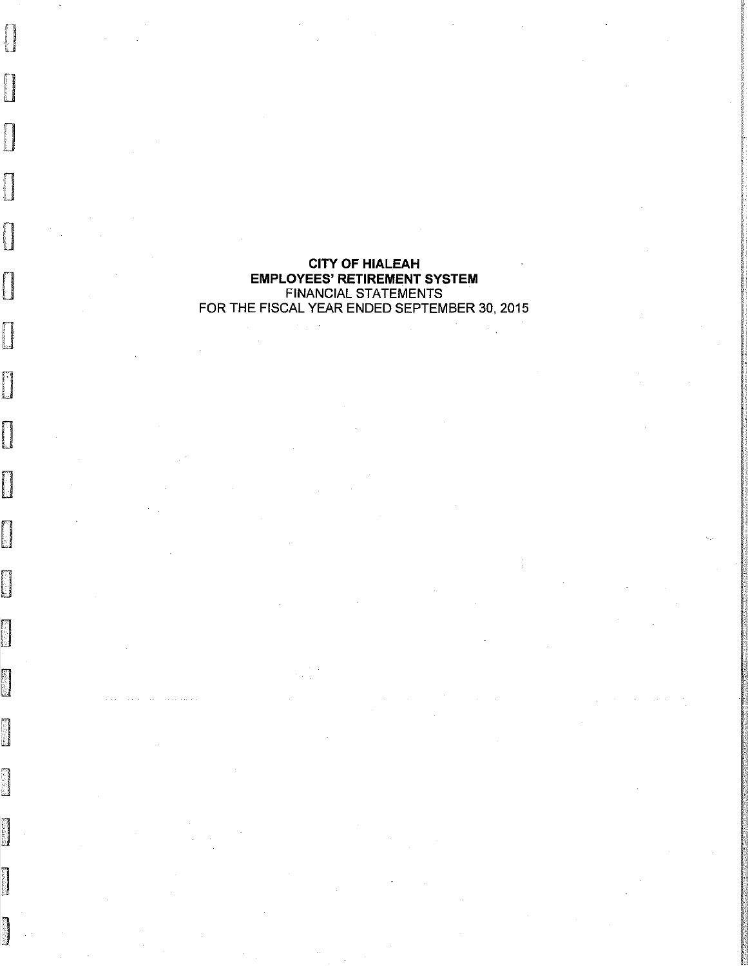**CITY OF HIALEAH EMPLOYEES' RETIREMENT SYSTEM FINANCIAL STATEMENTS** FOR THE FISCAL YEAR ENDED SEPTEMBER 30, 2015

 $\mathcal{A}^{\mathcal{A}}$ 

**Contact Contact of Street** 

**Communication** 

**Constitution** 

personality<br>Composite

 $\begin{bmatrix} 1 & 1 \\ 1 & 1 \\ 1 & 1 \\ 1 & 1 \\ 1 & 1 \\ 1 & 1 \\ 1 & 1 \\ 1 & 1 \\ 1 & 1 \\ 1 & 1 \\ 1 & 1 \\ 1 & 1 \\ 1 & 1 \\ 1 & 1 \\ 1 & 1 \\ 1 & 1 \\ 1 & 1 \\ 1 & 1 \\ 1 & 1 \\ 1 & 1 \\ 1 & 1 \\ 1 & 1 \\ 1 & 1 \\ 1 & 1 \\ 1 & 1 \\ 1 & 1 \\ 1 & 1 \\ 1 & 1 \\ 1 & 1 \\ 1 & 1 \\ 1 & 1 \\ 1 & 1 \\ 1 & 1 \\ 1 & 1 \\ 1 & 1 \\ 1 &$ 

**The Second Property**<br>Property and Property Second Property<br>Property and Property Second

la anggotan<br>Manazarta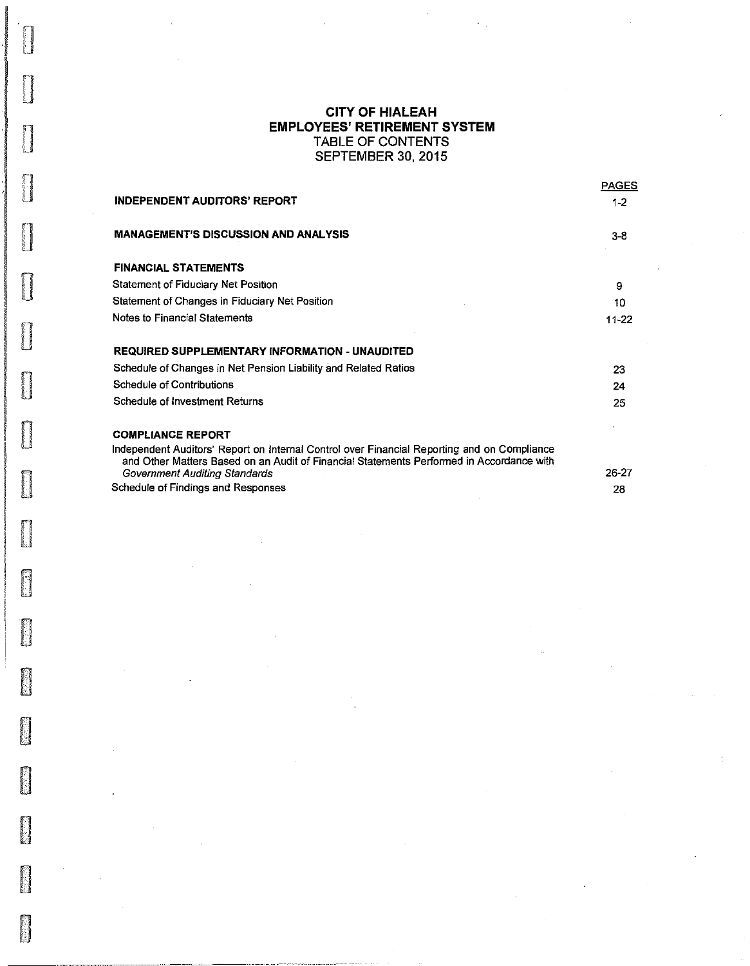# CITY OF HIALEAH EMPLOYEES' RETIREMENT SYSTEM TABLE OF CONTENTS SEPTEMBER 30, 2015

[] ' '

f] t.~

:<br>**:**<br>:<br>:

fJ

!<br>|<br>|<br>|<br>|

**financial** 

manatan<br>Kabupatèn

0

**Incomedia** 

|<br>|<br>|<br>|<br>|

 $\begin{bmatrix} 1 & 1 \\ 1 & 1 \\ 1 & 1 \end{bmatrix}$ 

**Property** 

 $\mathbb{Z}$ 

 $\begin{bmatrix} 1 & 1 \\ 1 & 1 \\ 1 & 1 \end{bmatrix}$ 

0

|                                                                                                                                                                                         | <b>PAGES</b> |
|-----------------------------------------------------------------------------------------------------------------------------------------------------------------------------------------|--------------|
| <b>INDEPENDENT AUDITORS' REPORT</b>                                                                                                                                                     | $1 - 2$      |
| <b>MANAGEMENT'S DISCUSSION AND ANALYSIS</b>                                                                                                                                             | $3 - 8$      |
| <b>FINANCIAL STATEMENTS</b>                                                                                                                                                             |              |
| Statement of Fiduciary Net Position                                                                                                                                                     | 9            |
| Statement of Changes in Fiduciary Net Position                                                                                                                                          | 10           |
| Notes to Financial Statements                                                                                                                                                           | $11 - 22$    |
| <b>REQUIRED SUPPLEMENTARY INFORMATION - UNAUDITED</b>                                                                                                                                   |              |
| Schedule of Changes in Net Pension Liability and Related Ratios                                                                                                                         | 23           |
| Schedule of Contributions                                                                                                                                                               | 24           |
| Schedule of Investment Returns                                                                                                                                                          | 25           |
| <b>COMPLIANCE REPORT</b>                                                                                                                                                                |              |
| Independent Auditors' Report on Internal Control over Financial Reporting and on Compliance<br>and Other Matters Based on an Audit of Financial Statements Performed in Accordance with |              |
| <b>Government Auditing Standards</b>                                                                                                                                                    | 26-27        |
| Schedule of Findings and Responses                                                                                                                                                      | 28           |
|                                                                                                                                                                                         |              |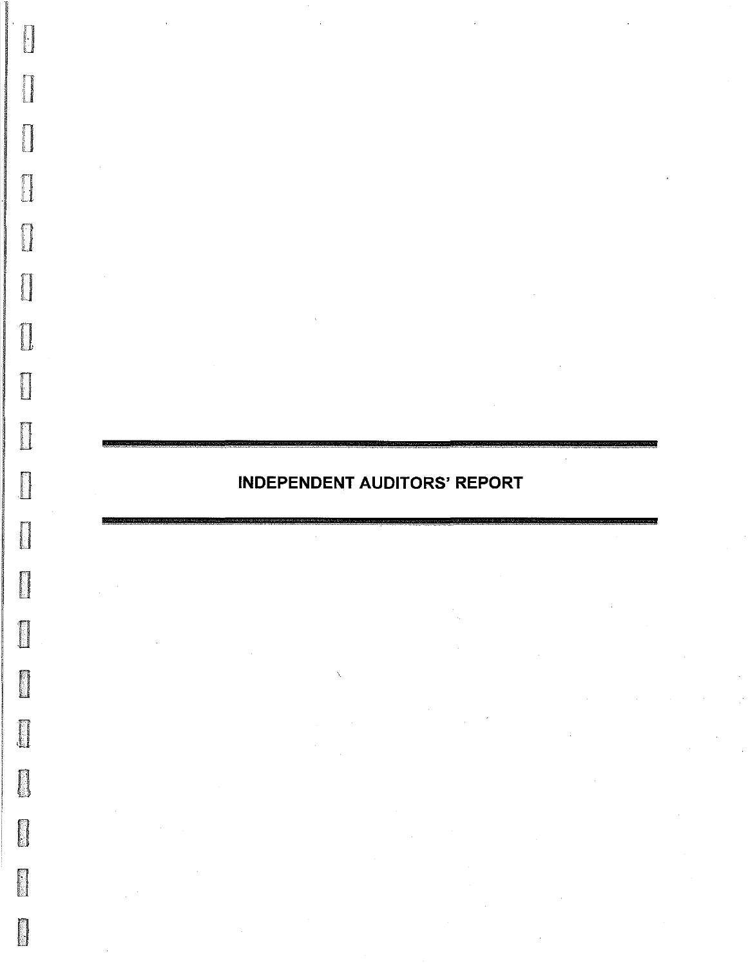# **INDEPENDENT AUDITORS' REPORT**

 $\begin{bmatrix} 1 & 1 \\ 1 & 1 \\ 1 & 1 \\ 1 & 1 \\ 1 & 1 \\ 1 & 1 \\ 1 & 1 \\ 1 & 1 \\ 1 & 1 \\ 1 & 1 \\ 1 & 1 \\ 1 & 1 \\ 1 & 1 \\ 1 & 1 \\ 1 & 1 \\ 1 & 1 \\ 1 & 1 \\ 1 & 1 \\ 1 & 1 \\ 1 & 1 \\ 1 & 1 \\ 1 & 1 \\ 1 & 1 \\ 1 & 1 \\ 1 & 1 \\ 1 & 1 \\ 1 & 1 \\ 1 & 1 \\ 1 & 1 \\ 1 & 1 \\ 1 & 1 \\ 1 & 1 \\ 1 & 1 \\ 1 & 1 \\ 1 & 1 \\ 1 &$ 

 $\begin{picture}(20,20) \put(0,0){\dashbox{0.5}(20,0){ }} \put(15,0){\dashbox{0.5}(20,0){ }} \put(15,0){\dashbox{0.5}(20,0){ }} \put(15,0){\dashbox{0.5}(20,0){ }} \put(15,0){\dashbox{0.5}(20,0){ }} \put(15,0){\dashbox{0.5}(20,0){ }} \put(15,0){\dashbox{0.5}(20,0){ }} \put(15,0){\dashbox{0.5}(20,0){ }} \put(15,0){\dashbox{0.5}(20,0){ }} \put(15,0){\dashbox{$ 

 $\begin{bmatrix} 1 & 0 & 0 & 0 \\ 0 & 1 & 0 & 0 \\ 0 & 0 & 0 & 0 \\ 0 & 0 & 0 & 0 \\ 0 & 0 & 0 & 0 \\ 0 & 0 & 0 & 0 \\ 0 & 0 & 0 & 0 \\ 0 & 0 & 0 & 0 \\ 0 & 0 & 0 & 0 \\ 0 & 0 & 0 & 0 \\ 0 & 0 & 0 & 0 \\ 0 & 0 & 0 & 0 & 0 \\ 0 & 0 & 0 & 0 & 0 \\ 0 & 0 & 0 & 0 & 0 \\ 0 & 0 & 0 & 0 & 0 \\ 0 & 0 & 0 & 0 & 0 \\ 0 & 0 &$ 

 $\begin{bmatrix} 1 & 0 & 0 \\ 0 & 1 & 0 \\ 0 & 0 & 0 \\ 0 & 0 & 0 \\ 0 & 0 & 0 \\ 0 & 0 & 0 \\ 0 & 0 & 0 \\ 0 & 0 & 0 \\ 0 & 0 & 0 \\ 0 & 0 & 0 \\ 0 & 0 & 0 \\ 0 & 0 & 0 \\ 0 & 0 & 0 \\ 0 & 0 & 0 \\ 0 & 0 & 0 & 0 \\ 0 & 0 & 0 & 0 \\ 0 & 0 & 0 & 0 \\ 0 & 0 & 0 & 0 & 0 \\ 0 & 0 & 0 & 0 & 0 \\ 0 & 0 & 0 & 0 & 0 \\ 0 & 0 &$ 

**Community**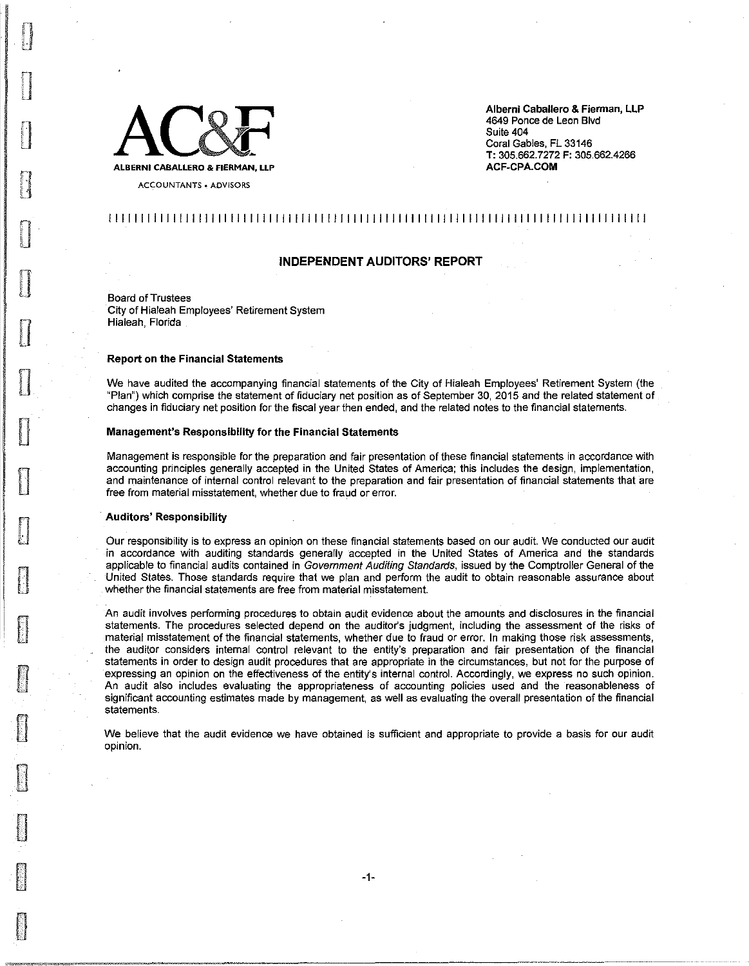

0 . .

D

·0' I! L

**Deserved States** 

' .

}<br>**[1100**<br>**http://** 

De Bernard<br>De Bernard (d. 1915)<br>De Bernard (d. 1915)<br>De Bernard (d. 1915)

<u>de de la pro</u>

B

[1

0<br>1990 - Paris Barcelona<br>1990 - Paris Barcelona<br>1991 - Paris Barcelona<br>1991 - Paris Barcelona<br>1992 - Paris Barcelona

<u>n</u>

**De** 

.<br>.<br>.

Alberni Caballero & Fierman, LLP 4649 Ponce de Leon Blvd Suite 404 Coral Gables, FL 33146 T: 305.662.7272 F: 305.662.4266 ACF-CPA.COM

### llllllllllllllllllllllllllllllllllllllllllllllllllllllllllllllllllllllllllllllllllll

### INDEPENDENT AUDITORS' REPORT

**Board of Trustees** City of Hialeah Employees' Retirement System Hialeah, Florida

#### Report on the Financial Statements

We have audited the accompanying financial statements of the City of Hialeah Employees' Retirement System (the "Plan") which comprise the statement of fiduciary net position as of September 30, 2015 and the related statement of changes in fiduciary net position for the fiscal year then ended, and the related notes to the financial statements.

### Management's Responsibility for the Financial Statements

Management is responsible for the preparation and fair presentation of these financial statements in accordance with accounting principles generally accepted in the United States of America; this includes the design, implementation, and maintenance of internal control relevant to the preparation and fair presentation of financial statements that are free from material misstatement, whether due to fraud or error.

#### Auditors' Responsibility

Our responsibility is to express an opinion on these financial statements based on our audit. We conducted our audit in accordance with auditing standards generally accepted in the United States of America and the standards applicable to financial audits contained in Government Auditing Standards, issued by the Comptroller General of the United States. Those standards require that we plan and perform the audit to obtain reasonable assurance about whether the financial statements are free from material misstatement.

An audit involves performing procedures to obtain audit evidence about the amounts and disclosures in the financial statements. The procedures selected depend on the auditor's judgment, including the assessment of the risks of material misstatement of the financial statements, whether due to fraud or error. In making those risk assessments, the auditor considers internal control relevant to the entity's preparation and fair presentation of the financial statements in order to design audit procedures that are appropriate in the circumstances, but not for the purpose of expressing an opinion on the effectiveness of the entity's internal control. Accordingly, we express no such opinion. An audit also includes evaluating the appropriateness of accounting policies used and the reasonableness of significant accounting estimates made by management, as well as evaluating the overall presentation of the financial statements.

We believe that the audit evidence we have obtained is sufficient and appropriate to provide a basis for our audit opinion.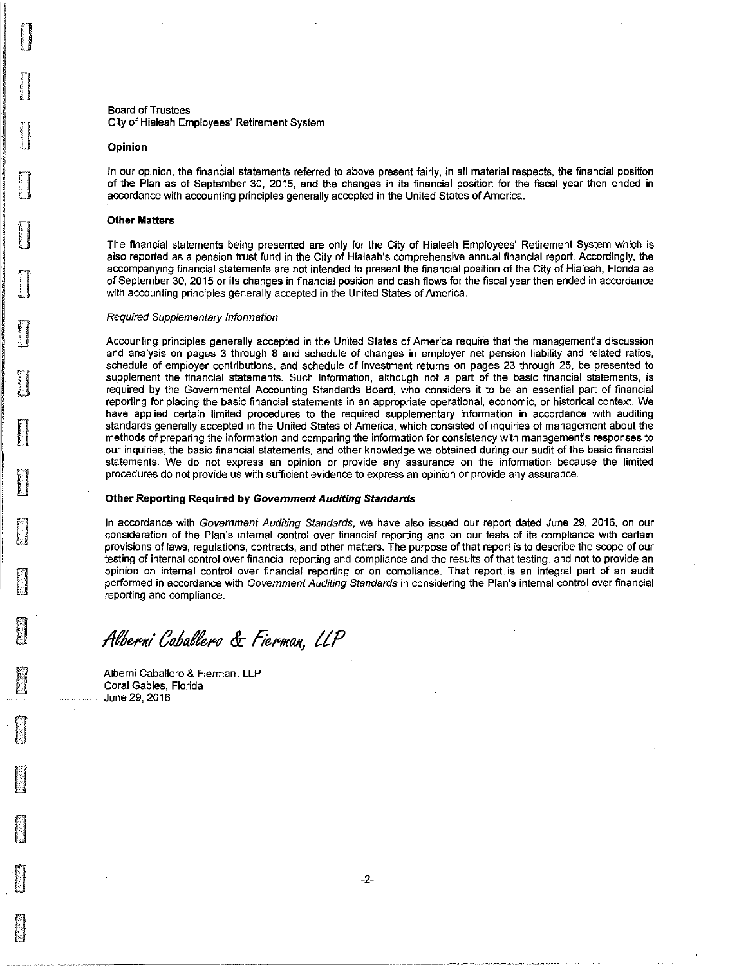#### Board of Trustees City of Hialeah Employees' Retirement System

#### Opinion

. University<br>. University<br>. University of the University<br>. University of the University<br>. University of the University of the University<br>. University of the University of the University of the University of the University

r anns anns an air.<br>Chaidheann anns an air an air an air an air an air an air an air an air an air an air an air an air an air an <u>|</u>

i<br>Manamanan<br>Kasasasasasasi

<u>000 - 1000 - 1000 - 1000 - 1000 - 1000 - 1000 - 1000 - 1000 - 1000 - 1000 - 1000 - 1000 - 1000 - 1000 - 1000 </u><br>1000 - 1000 - 1000 - 1000 - 1000 - 1000 - 1000 - 1000 - 1000 - 1000 - 1000 - 1000 - 1000 - 1000 - 1000 - 1000<br>

**000** 

اها<br>-<br>-

In our opinion, the financial statements referred to above present fairly, in all material respects, the financial position of the Plan as of September 30, 2015, and the changes in its financial position for the fiscal year then ended in accordance with accounting principles generally accepted in the United States of America.

#### Other Matters

The financial statements being presented are only for the City of Hialeah Employees' Retirement System which is also reported as a pension trust fund in the City of Hialeah's comprehensive annual financial report. Accordingly, the accompanying financial statements are not intended to present the financial position of the City of Hialeah, Florida as of September 30, 2015 or its changes in financial position and cash flows for the fiscal year then ended in accordance with accounting principles generally accepted in the United States of America.

#### Required Supplementary Information

Accounting principles generally accepted in the United States of America require that the management's discussion and analysis on pages 3 through 8 and schedule of changes in employer net pension liability and related ratios, schedule of employer contributions, and schedule of investment returns on pages 23 through 25, be presented to supplement the financial statements. Such information, although not a part of the basic financial statements, is required by the Governmental Accounting Standards Board, who considers it to be an essential part of financial reporting for placing the basic financial statements in an appropriate operational, economic, or historical context. We have applied certain limited procedures to the required supplementary information in accordance with auditing standards generally accepted in the United States of America, which consisted of inquiries of management about the methods of preparing the information and comparing the information for consistency with management's responses to our inquiries, the basic financial statements, and other knowledge we obtained during our audit of the basic financial statements. We do not express an opinion or provide any assurance on the information because the limited procedures do not provide us with sufficient evidence to express an opinion or provide any assurance.

#### Other Reporting Required by Government Auditing Standards

In accordance with Government Auditing Standards, we have also issued our report dated June 29, 2016, on our consideration of the Plan's internal control over financial reporting and on our tests of its compliance with certain provisions of laws, regulations, contracts, and other matters. The purpose of that report is to describe the scope of our testing of internal control over financial reporting and compliance and the results of that testing, and not to provide an opinion on internal control over financial reporting or on compliance. That report is an integral part of an audit performed in accordance with Government Auditing Standards in considering the Plan's internal control over financial reporting and compliance.

Alberni Caballero & Fierman. LLP

Albemi Caballero & Fierman, LLP Coral Gables, Florida June 29, 2016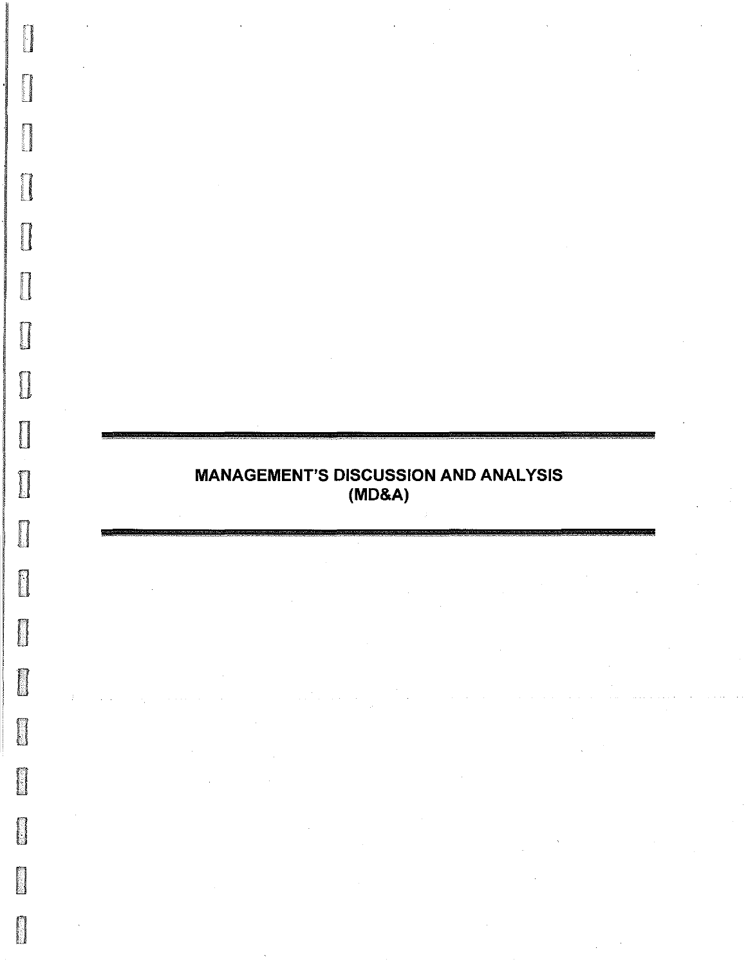# **MANAGEMENT'S DISCUSSION AND ANALYSIS**  $(MD&A)$

 $\begin{picture}(20,20) \put(0,0){\dashbox{0.5}(20,2){\circle{1}} \put(1,0){\dashbox{0.5}(20,2){\circle{1}} \put(2,0){\dashbox{0.5}(20,2){\circle{1}} \put(2,0){\dashbox{0.5}(20,2){\circle{1}} \put(2,0){\dashbox{0.5}(20,2){\circle{1}} \put(2,0){\dashbox{0.5}(20,2){\circle{1}} \put(2,0){\dashbox{0.5}(20,2){\circle{1}} \put(2,0){\dashbox{0.5}(20,2){\circle{1}} \put(2,0){\dash$ 

 $\begin{bmatrix} 1 & 0 & 0 \\ 0 & 1 & 0 \\ 0 & 0 & 0 \\ 0 & 0 & 0 \\ 0 & 0 & 0 \\ 0 & 0 & 0 \\ 0 & 0 & 0 \\ 0 & 0 & 0 \\ 0 & 0 & 0 \\ 0 & 0 & 0 \\ 0 & 0 & 0 \\ 0 & 0 & 0 \\ 0 & 0 & 0 \\ 0 & 0 & 0 \\ 0 & 0 & 0 & 0 \\ 0 & 0 & 0 & 0 \\ 0 & 0 & 0 & 0 \\ 0 & 0 & 0 & 0 & 0 \\ 0 & 0 & 0 & 0 & 0 \\ 0 & 0 & 0 & 0 & 0 \\ 0 & 0 &$ 

 $\begin{picture}(20,20) \put(0,0){\dashbox{0.5}(20,2){ }} \put(15,0){\dashbox{0.5}(20,2){ }} \put(25,0){\dashbox{0.5}(20,2){ }} \put(25,0){\dashbox{0.5}(20,2){ }} \put(25,0){\dashbox{0.5}(20,2){ }} \put(25,0){\dashbox{0.5}(20,2){ }} \put(25,0){\dashbox{0.5}(20,2){ }} \put(25,0){\dashbox{0.5}(20,2){ }} \put(25,0){\dashbox{0.5}(20,2){ }} \put(25,0){\dashbox{$ 

 $\begin{picture}(20,20) \put(0,0){\vector(1,0){10}} \put(15,0){\vector(1,0){10}} \put(15,0){\vector(1,0){10}} \put(15,0){\vector(1,0){10}} \put(15,0){\vector(1,0){10}} \put(15,0){\vector(1,0){10}} \put(15,0){\vector(1,0){10}} \put(15,0){\vector(1,0){10}} \put(15,0){\vector(1,0){10}} \put(15,0){\vector(1,0){10}} \put(15,0){\vector(1,0){10}} \put(15,0){\vector(1$ 

 $\begin{bmatrix} 1 & 1 \\ 1 & 1 \\ 1 & 1 \end{bmatrix}$ 

*<u>All Contents of the Sean Sea</u>* 

**The Company of Separator**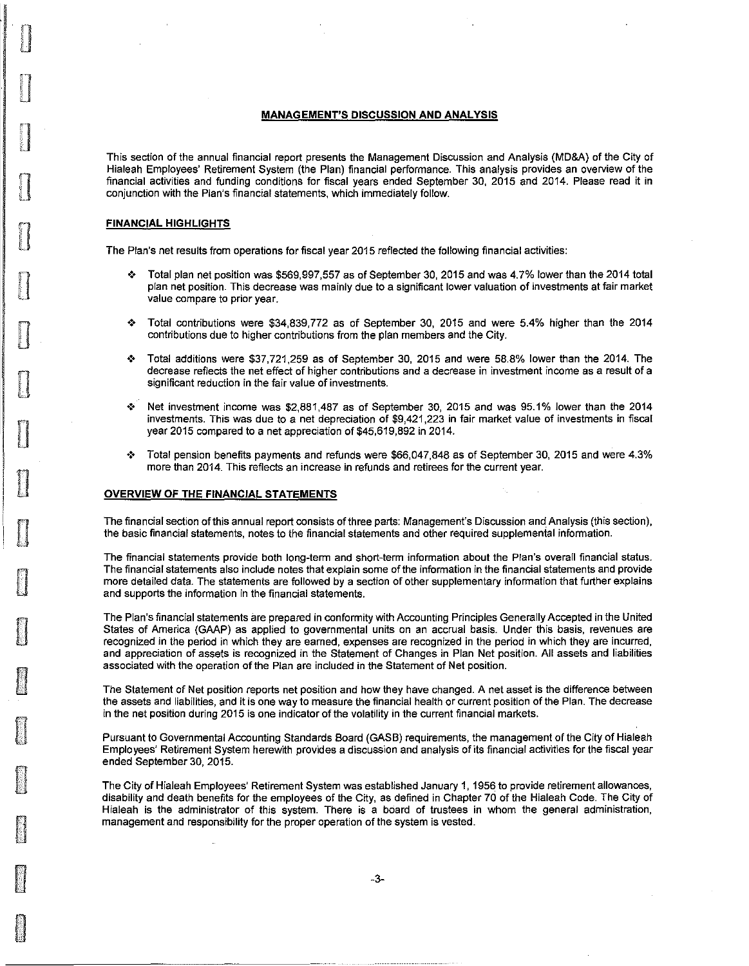#### MANAGEMENT'S DISCUSSION AND ANALYSIS

This section of the annual financial report presents the Management Discussion and Analysis (MD&A) of the City of Hialeah Employees' Retirement System (the Plan) financial performance. This analysis provides an overview of the financial activities and funding conditions for fiscal years ended September 30, 2015 and 2014. Please read it in **conjunction with the Plan's financial statements, which immediately follow.** 

#### FINANCIAL HIGHLIGHTS

 $\overline{\mathbf{u}}$ .

ः<br>प्राप्तवाद्यालयः<br>प्राप्तवाद्यालयः ĉ,

 $\blacksquare$ 

The Plan's net results from operations for fiscal year 2015 reflected the following financial activities:

- •:• Total plan net position was \$569,997,557 as of September 30, 2015 and was 4.7% lower than the 2014 total **plan net position. This decrease was mainly due to a significant lower valuation of investments at fair market value compare to prior year.**
- •:• Total contributions were \$34,839,772 as of September 30, 2015 and were 5.4% higher than the 2014 **contributions due to higher contributions from the plan members and the City.**
- •:• Total additions were \$37,721,259 as of September 30, 2015 and were 58.8% lower than the 2014. The **decrease reflects the net effect of higher contributions and a decrease in investment income as a result of a significant reduction in the fair value of investments.**
- •:• Net investment income was \$2,881,487 as of September 30, 2015 and was 95.1% lower than the 2014 **investments. This was due to a net depreciation of \$9,421,223 in fair market value of investments in fiscal**  year 2015 compared to a net appreciation of \$45,619,892 in 2014.
- •:• Total pension benefits payments and refunds were \$66,047,848 as of September 30, 2015 and were 4.3% **more than 2014. This reflects an increase in refunds and retirees for the current year.**

### OVERVIEW OF THE FINANCIAL STATEMENTS

**The financial section of this annual report consists of three parts: Management's Discussion and Analysis (this section), the basic financial statements, notes to the financial statements and other required supplemental information.** 

**The financial statements provide both long-term and short-term information about the Plan's overall financial status. The financial statements also include notes that explain some of the information in the financial statements and provide more detailed data. The statements are followed by a section of other supplementary information that further explains and supports the information in the financial statements.** 

**The Plan's financial statements are prepared in conformity with Accounting Principles Generally Accepted in the United States of America (GAAP) as applied to governmental units on an accrual basis. Under this basis, revenues are recognized in the period in which they are earned, expenses are recognized in the period in which they are incurred, and appreciation of assets is recognized in the Statement of Changes in Plan Net position. All assets and liabilities associated with the operation of the Plan are included in the Statement of Net position.** 

**The Statement of Net position reports net position and how they have changed. A net asset is the difference between the assets and liabilities, and it is one way to measure the financial health or current position of the Plan. The decrease in the net position during 2015 is one indicator of the volatility in the current financial markets.** 

Pursuant to Governmental Accounting Standards Board (GASB) requirements, the management of the City of Hialeah **Employees' Retirement System herewith provides a discussion and analysis of its financial activities for the fiscal year**  ended September 30, 2015.

The City of Hialeah Employees' Retirement System was established January 1, 1956 to provide retirement allowances, disability and death benefits for the employees of the City, as defined in Chapter 70 of the Hialeah Code. The City of **Hialeah is the administrator of this system. There is a board of trustees in whom the general administration, management and responsibility for the proper operation of the system is vested.**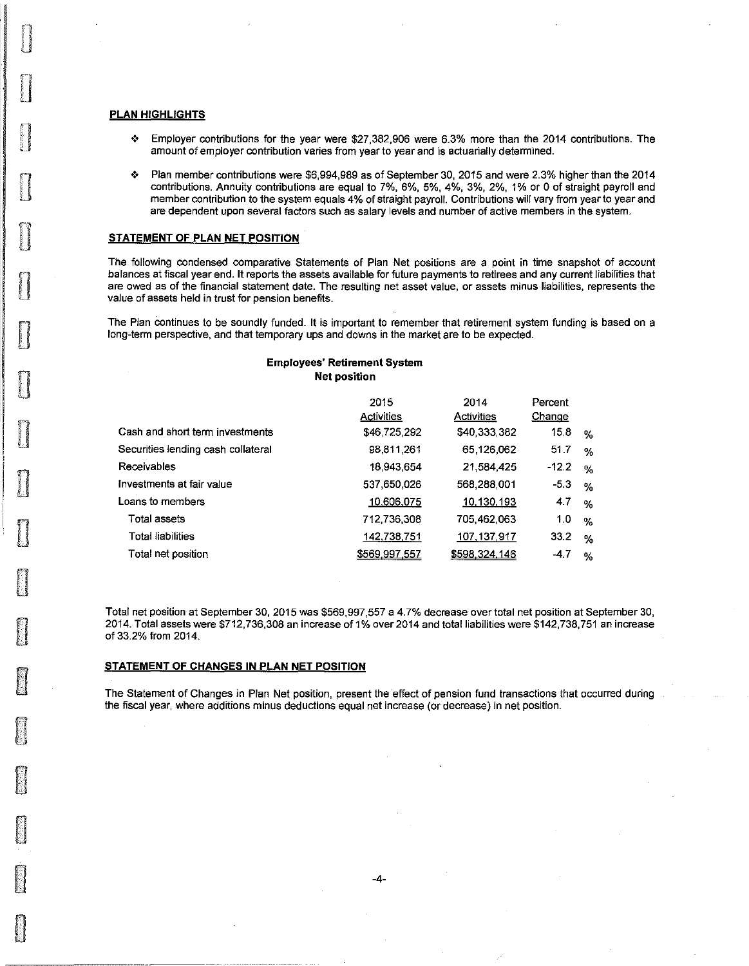### PLAN HIGHLIGHTS

 $\mathbb{I}$  is l

·n·.·.·· .. !! ĉ.

r.J· e e<br>b

n<br>Marianan<br>Mariananan

lil

ro

n<br>Bernaman<br>Bernaman

<u>de de la partie de la partie de la partie de la partie de la partie de la partie de la partie de la partie de l</u><br>Décembre de la partie de la partie de la partie de la partie de la partie de la partie de la partie de la pa

!

- $\div$  Employer contributions for the year were \$27,382,906 were 6.3% more than the 2014 contributions. The **amount of employer contribution varies from year to year and is aduarially determined.**
- •:• Plan member contributions were \$6,994,989 as of September 30, 2015 and were 2.3% higher than the 2014 **contributions. Annuity contributions are equal to** 7%, **6%, 5%, 4%,** 3%, **2%, 1% or 0 of straight payroll and**  member contribution to the system equals 4% of straight payroll. Contributions will vary from year to year and **are dependent upon several factors such as salary levels and number of active members in the system.**

#### STATEMENT OF PLAN NET POSITION

**The following condensed comparative Statements of Plan Net positions are a point in time snapshot of account**  balances at fiscal year end. It reports the assets available for future payments to retirees and any current liabilities that **are owed as of the financial statement date. The resulting net asset value, or assets minus liabilities, represents the value of assets held in trust for pension benefits.** 

**The Plan continues to be soundly funded. It is important to remember that retirement system funding is based on a**  long-term perspective, and that temporary ups and downs in the market are to be expected.

### Employees' Retirement System **Net position**

|                                    | 2015<br><b>Activities</b> | 2014<br><b>Activities</b> | Percent<br>Change |               |
|------------------------------------|---------------------------|---------------------------|-------------------|---------------|
| Cash and short term investments    | \$46,725,292              | \$40,333,382              | 15.8              | $\frac{0}{2}$ |
| Securities lending cash collateral | 98,811.261                | 65,126,062                | 51.7              | %             |
| <b>Receivables</b>                 | 18,943.654                | 21,584,425                | $-12.2$           | $\%$          |
| Investments at fair value          | 537 650 026               | 568,288,001               | $-5.3$            | $\frac{9}{6}$ |
| Loans to members                   | 10.606.075                | 10,130,193                | 4.7               | ℀             |
| Total assets                       | 712 736 308               | 705,462,063               | 1.0               | $\%$          |
| <b>Total liabilities</b>           | 142,738,751               | 107,137,917               | 33.2              | %             |
| Total net position                 | \$569.997.557             | \$598.324.146             | $-4.7$            | $\frac{9}{6}$ |

Total net position at September 30, 2015 was \$569,997,557 a 4.7% decrease over total net position at September 30, 2014. Total assets were \$712,736,308 an increase of 1% over 2014 and total liabilities were \$142,738,751 an increase of 33.2% from 2014.

### STATEMENT OF CHANGES IN PLAN NET POSITION

The Statement of Changes in Plan Net position, present the effect of pension fund transactions that occurred during **the fiscal year, where additions minus deductions equal net increase (or decrease) in net position.** 

-4-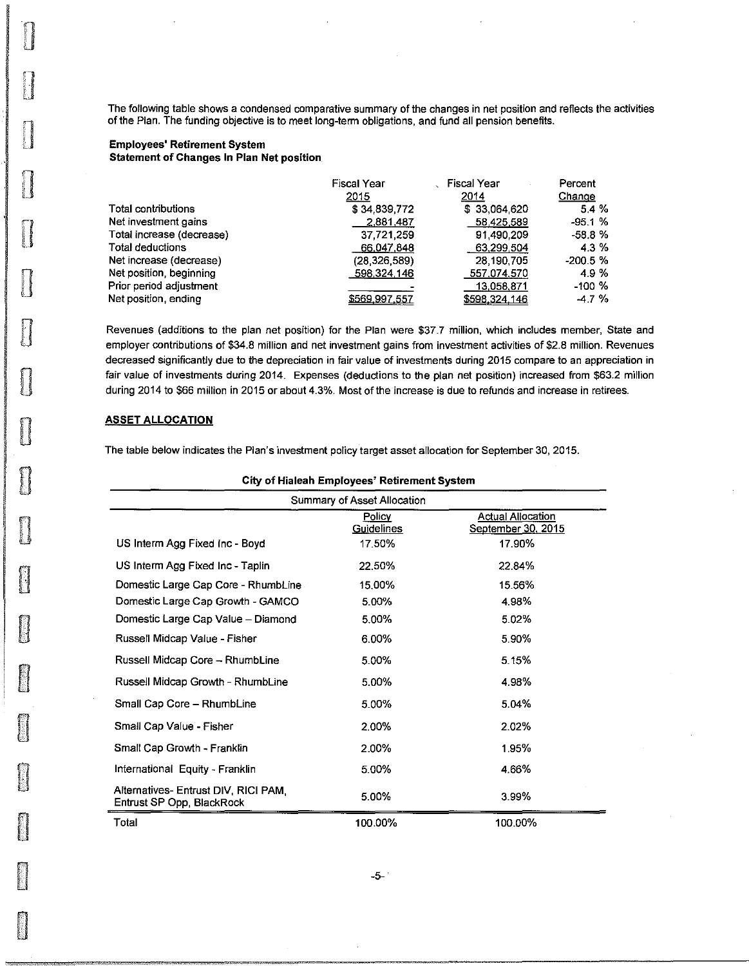**The following table shows a condensed comparative summary of the changes in net position and reflects the activities**  of the Plan. The funding objective is to meet long-temn obligations, and fund all pension benefits.

### Employees' Retirement System Statement of Changes In Plan Net position

|                           | <b>Fiscal Year</b> | Fiscal Year   | Percent     |
|---------------------------|--------------------|---------------|-------------|
|                           | 2015               | 2014          | Change      |
| Total contributions       | \$34.839,772       | \$33,064.620  | 5.4%        |
| Net investment gains      | 2.881.487          | 58,425,589    | $-95.1%$    |
| Total increase (decrease) | 37,721,259         | 91,490,209    | $-58.8%$    |
| Total deductions          | 66,047,848         | 63,299,504    | $4.3 \%$    |
| Net increase (decrease)   | (28.326.589)       | 28,190,705    | $-200.5 \%$ |
| Net position, beginning   | 598,324,146        | 557.074,570   | 4.9%        |
| Prior period adjustment   |                    | 13.058.871    | $-100 \%$   |
| Net position, ending      | \$569,997,557      | \$598.324.146 | -4.7 %      |

Revenues (additions to the plan net position) for the Plan were \$37.7 million, which includes member, State and **employer contributions of \$34.8 million and net investment gains from investment activities of \$2.8 million. Revenues decreased significantly due to the depreciation in fair value of investments during 2015 compare to an appreciation in**  fair value of investments during 2014. Expenses (deductions to the plan net position) increased from \$63.2 million **during 2014 to \$66 million in 2015 or about 4.3%. Most of the increase is due to refunds and increase in retirees.** 

### **ASSET ALLOCATION**

t.'.] ,,\_. L

n u

 $\prod$ 

para di Kalèndher<br>Para di Kalèndher<br>Para di Kalèndher di Kalèndher di Kalèndher di Kalèndher di Kalèndher di Kalèndher di Kalènd d<br>U

**names** und<br>University<br>University The table below indicates the Plan's investment policy target asset allocation for September 30, 2015.

| VILY VI HIGICAN EBIDIOYEES TREGIENICHL OYSIGNI                   |                      |                                                |  |  |
|------------------------------------------------------------------|----------------------|------------------------------------------------|--|--|
| Summary of Asset Allocation                                      |                      |                                                |  |  |
|                                                                  | Policy<br>Guidelines | <b>Actual Allocation</b><br>September 30, 2015 |  |  |
| US Interm Agg Fixed Inc - Boyd                                   | 17.50%               | 17.90%                                         |  |  |
| US Interm Agg Fixed Inc - Taplin                                 | 22.50%               | 22.84%                                         |  |  |
| Domestic Large Cap Core - RhumbLine                              | 15.00%               | 15.56%                                         |  |  |
| Domestic Large Cap Growth - GAMCO                                | 5.00%                | 4.98%                                          |  |  |
| Domestic Large Cap Value - Diamond                               | 5.00%                | 5.02%                                          |  |  |
| Russell Midcap Value - Fisher                                    | 6.00%                | 5.90%                                          |  |  |
| Russell Midcap Core - RhumbLine                                  | 5.00%                | 5.15%                                          |  |  |
| Russell Midcap Growth - RhumbLine                                | 5.00%                | 4.98%                                          |  |  |
| Small Cap Core - RhumbLine                                       | 5.00%                | 5.04%                                          |  |  |
| Small Cap Value - Fisher                                         | 200%                 | 2.02%                                          |  |  |
| Small Cap Growth - Franklin                                      | 2.00%                | 1.95%                                          |  |  |
| International Equity - Franklin                                  | 5.00%                | 4.66%                                          |  |  |
| Alternatives-Entrust DIV, RICI PAM,<br>Entrust SP Opp, BlackRock | 5.00%                | 3.99%                                          |  |  |
| Total                                                            | 100.00%              | 100.00%                                        |  |  |

#### City of Hialeah Employees' Retirement System

-s-·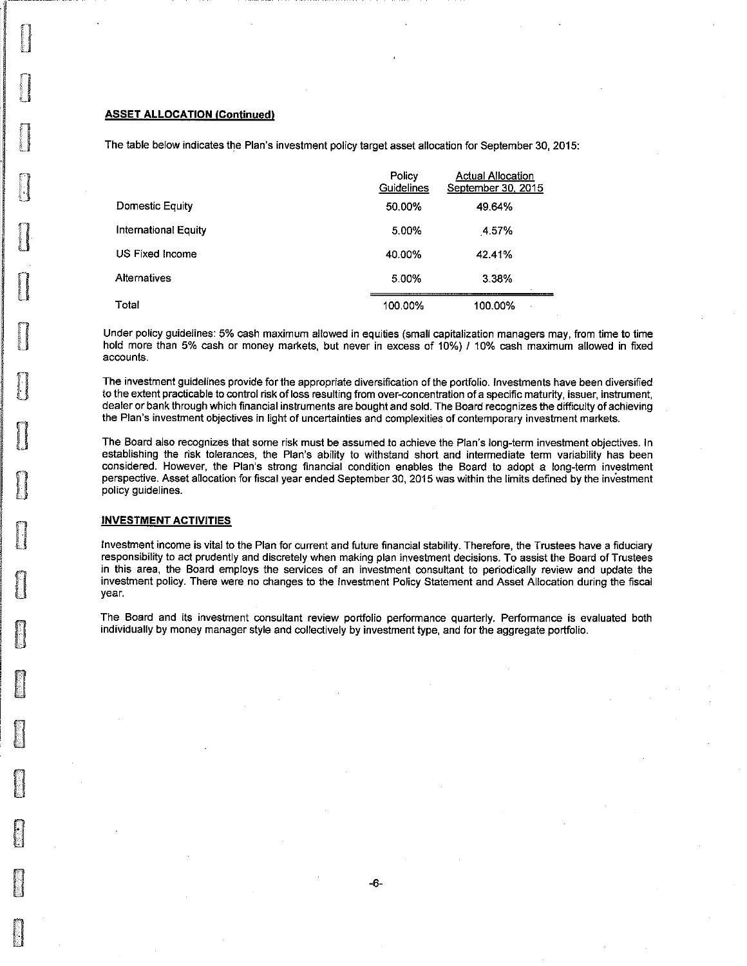### **ASSET ALLOCATION (Continued)**

The table below indicates the Plan's investment policy target asset allocation for September 30, 2015:

|                             | Policy<br>Guidelines | <b>Actual Allocation</b><br>September 30, 2015 |
|-----------------------------|----------------------|------------------------------------------------|
| Domestic Equity             | 50.00%               | 49.64%                                         |
| <b>International Equity</b> | 5.00%                | 4.57%                                          |
| US Fixed Income             | 40.00%               | 42.41%                                         |
| Alternatives                | 5.00%                | 3.38%                                          |
| Total                       | 100.00%              | 100.00%                                        |

Under policy guidelines: 5% cash maximum allowed in equities (small capitalization managers may, from time to time hold more than 5% cash or money markets, but never in excess of 10%) / 10% cash maximum allowed in fixed accounts.

The investment guidelines provide for the appropriate diversification of the portfolio. Investments have been diversified to the extent practicable to control risk of loss resulting from over-concentration of a specific maturity, issuer, instrument, dealer or bank through which financial instruments are bought and sold. The Board recognizes the difficulty of achieving the Plan's investment objectives in light of uncertainties and complexities of contemporary investment markets.

The Board also recognizes that some risk must be assumed to achieve the Plan's long-term investment objectives. In establishing the risk tolerances, the Plan's ability to withstand short and intermediate term variability has been considered. However, the Plan's strong financial condition enables the Board to adopt a long-term investment perspective. Asset allocation for fiscal year ended September 30, 2015 was within the limits defined by the investment policy guidelines.

### INVESTMENT ACTIVITIES

Investment income is vital to the Plan for current and future financial stability. Therefore, the Trustees have a fiduciary responsibility to act prudently and discretely when making plan investment decisions. To assist the Board of Trustees in this area, the Board employs the services of an investment consultant to periodically review and update the investment policy. There were no changes to the Investment Policy Statement and Asset Allocation during the fiscal year.

The Board and its investment consultant review portfolio performance quarterly. Performance is evaluated both individually by money manager style and collectively by investment type, and for the aggregate portfolio.

I

000 pm<br>1

**WARRANTEE** 

 $\frac{1}{2}$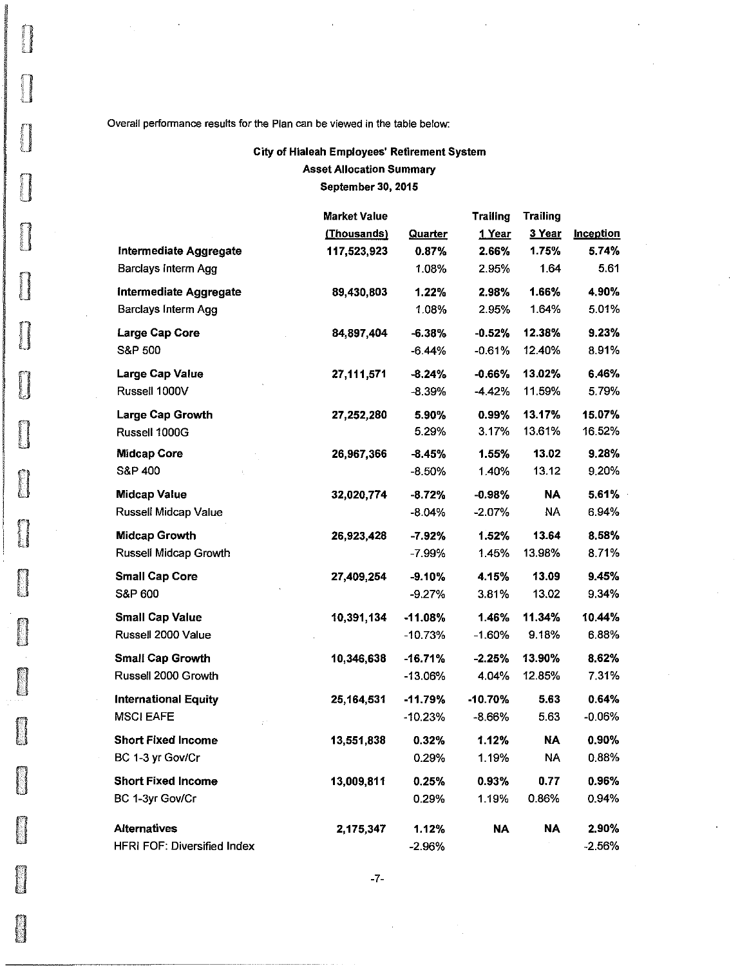Overall performance results for the Plan can be viewed in the table below:<br>City of Hialeah Employees' Refirement S

*«]* " ~ L

|<br>|<br>|<br>|  $\mathcal{E}^-$ 

0

0

# L City of Hialeah Employees' Retirement System Asset Allocation Summary September 30, 2015

|                            |                                    | <b>Market Value</b> |                | <b>Trailing</b> | <b>Trailing</b> |                  |
|----------------------------|------------------------------------|---------------------|----------------|-----------------|-----------------|------------------|
|                            |                                    | (Thousands)         | <b>Quarter</b> | 1 Year          | 3 Year          | <b>Inception</b> |
|                            | <b>Intermediate Aggregate</b>      | 117,523,923         | 0.87%          | 2.66%           | 1.75%           | 5.74%            |
|                            | <b>Barclays Interm Agg</b>         |                     | 1.08%          | 2.95%           | 1.64            | 5.61             |
|                            | <b>Intermediate Aggregate</b>      | 89,430,803          | 1.22%          | 2.98%           | 1.66%           | 4.90%            |
|                            | <b>Barclays Interm Agg</b>         |                     | 1.08%          | 2.95%           | 1.64%           | 5.01%            |
|                            | <b>Large Cap Core</b>              | 84,897,404          | $-6.38%$       | $-0.52%$        | 12.38%          | 9.23%            |
|                            | S&P 500                            |                     | $-6.44%$       | $-0.61%$        | 12.40%          | 8.91%            |
|                            | Large Cap Value                    | 27,111,571          | $-8.24%$       | $-0.66%$        | 13.02%          | 6.46%            |
|                            | Russell 1000V                      |                     | $-8.39%$       | $-4.42%$        | 11.59%          | 5.79%            |
|                            | Large Cap Growth                   | 27,252,280          | 5.90%          | 0.99%           | 13.17%          | 15.07%           |
|                            | Russell 1000G                      |                     | 5.29%          | 3.17%           | 13.61%          | 16.52%           |
|                            | <b>Midcap Core</b>                 | 26,967,366          | $-8.45%$       | 1.55%           | 13.02           | 9.28%            |
|                            | S&P 400                            |                     | $-8.50%$       | 1.40%           | 13.12           | 9.20%            |
|                            | <b>Midcap Value</b>                | 32,020,774          | $-8.72%$       | $-0.98%$        | ΝA.             | 5.61%            |
|                            | Russell Midcap Value               |                     | $-8.04%$       | $-2.07%$        | <b>NA</b>       | 6.94%            |
| <b><i>Constitution</i></b> | <b>Midcap Growth</b>               | 26,923,428          | $-7.92%$       | 1.52%           | 13.64           | 8.58%            |
|                            | Russell Midcap Growth              |                     | $-7.99%$       | 1.45%           | 13.98%          | 8.71%            |
|                            | <b>Small Cap Core</b>              | 27,409,254          | $-9.10%$       | 4.15%           | 13.09           | 9.45%            |
|                            | S&P 600                            |                     | $-9.27%$       | 3.81%           | 13.02           | 9.34%            |
|                            | <b>Small Cap Value</b>             | 10,391,134          | $-11.08%$      | 1.46%           | 11.34%          | 10.44%           |
|                            | Russell 2000 Value                 |                     | $-10.73%$      | $-1.60%$        | 9.18%           | 6.88%            |
|                            | <b>Small Cap Growth</b>            | 10,346,638          | $-16.71%$      | $-2.25%$        | 13.90%          | 8.62%            |
|                            | Russell 2000 Growth                |                     | -13.06%        | 4.04%           | 12 85%          | 7.31%            |
|                            | <b>International Equity</b>        | 25, 164, 531        | $-11.79%$      | $-10.70%$       | 5.63            | 0.64%            |
|                            | <b>MSCI EAFE</b>                   |                     | $-10.23%$      | $-8.66%$        | 5.63            | $-0.06%$         |
|                            | <b>Short Fixed Income</b>          | 13,551,838          | 0.32%          | 1.12%           | NΑ              | 0.90%            |
|                            | BC 1-3 yr Gov/Cr                   |                     | 0.29%          | 1.19%           | <b>NA</b>       | 0.88%            |
|                            | <b>Short Fixed Income</b>          | 13,009,811          | 0.25%          | 0.93%           | 0.77            | 0.96%            |
|                            | BC 1-3yr Gov/Cr                    |                     | 0.29%          | 1.19%           | 0.86%           | 0.94%            |
|                            | <b>Alternatives</b>                | 2,175,347           | 1.12%          | <b>NA</b>       | <b>NA</b>       | 2.90%            |
|                            | <b>HFRI FOF: Diversified Index</b> |                     | $-2.96%$       |                 |                 | $-2.56%$         |
|                            |                                    | $-7-$               |                |                 |                 |                  |
|                            |                                    |                     |                |                 |                 |                  |
|                            |                                    |                     |                |                 |                 |                  |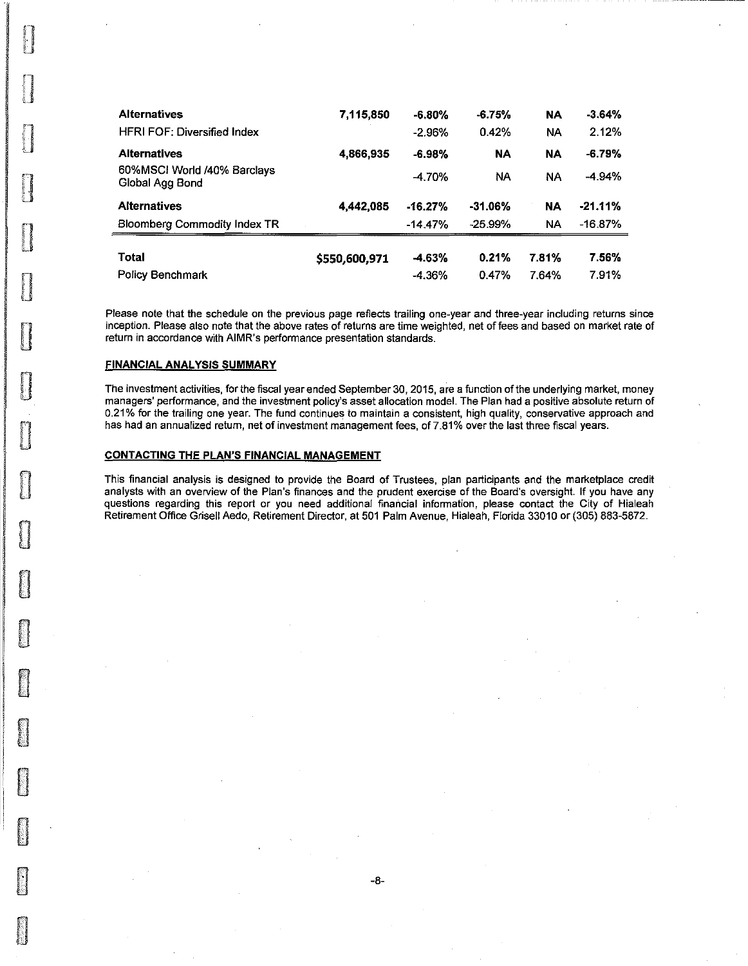| <b>Alternatives</b><br><b>HFRI FOF: Diversified Index</b> | 7.115.850     | $-6.80\%$<br>$-2.96%$ | $-6.75%$<br>0.42% | <b>NA</b><br><b>NA</b> | $-3.64%$<br>2.12% |
|-----------------------------------------------------------|---------------|-----------------------|-------------------|------------------------|-------------------|
| <b>Alternatives</b>                                       | 4.866.935     | -6.98%                | NA                | <b>NA</b>              | $-6.79%$          |
| 60%MSCI World /40% Barclays<br>Global Agg Bond            |               | $-4.70%$              | NA                | <b>NA</b>              | $-4.94%$          |
| <b>Alternatives</b>                                       | 4 442 085     | $-16.27%$             | $-31.06\%$        | <b>NA</b>              | $-21.11%$         |
| <b>Bloomberg Commodity Index TR</b>                       |               | $-14.47%$             | $-25.99%$         | <b>NA</b>              | $-16.87%$         |
|                                                           |               |                       |                   |                        |                   |
| <b>Total</b>                                              | \$550,600,971 | -4.63%                | 0.21%             | 7.81%                  | 7.56%             |
| Policy Benchmark                                          |               | $-4.36%$              | 0.47%             | 7.64%                  | 7.91%             |

**Please note that the schedule on the previous page reflects trailing one-year and three-year including returns since inception. Please also note that the above rates of returns are time weighted, net of fees and based on market rate of return in accordance with AIMR's performance presentation standards.** 

### FINANCIAL ANALYSIS SUMMARY

fJ g L

nan<br>Mar !J

la Carterian<br>Anglica Carterian

|<br>|<br>|-<br>|HITCHES

D

u

|<br>|<br>| generations

**Deserte de la procession de la procession de la procession de la procession de la procession de la procession**<br>Deserte de la procession de la procession de la procession de la procession de la procession de la procession<br>

The investment activities, for the fiscal year ended September 30, 2015, are a function of the underlying market, money **managers' performance, and the investment policy's asset allocation modeL The Plan had a positive absolute return of 0.21% for the trailing one year. The fund continues to maintain a consistent, high quality, conservative approach and has had an annualized return, net of investment management fees, of 7.81% over the last three fiscal years.** 

#### CONTACTING THE PLAN'S FINANCIAL MANAGEMENT

This financial analysis is designed to provide the Board of Trustees, plan participants and the marketplace credit **analysts with an overview of the Plan's finances and the prudent exercise of the Board's oversight. If you have any questions regarding this report or you need additional financial infonnation, please contact the City of Hialeah**  Retirement Office Grisell Aedo, Retirement Director, at 501 Palm Avenue, Hialeah, Florida 33010 or (305) 883-5872.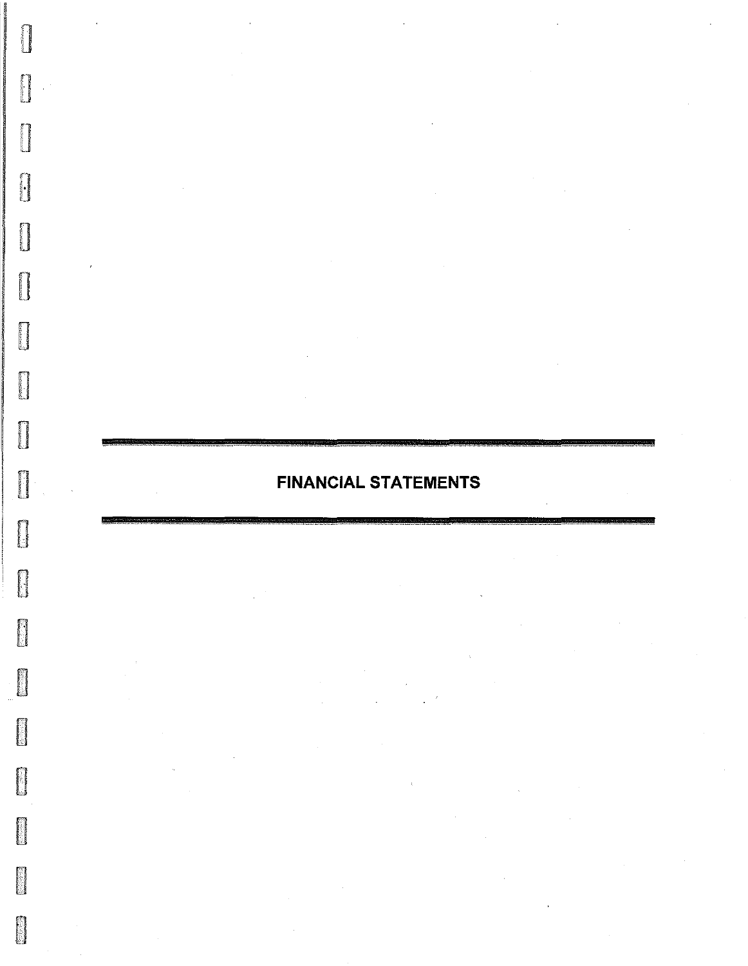# **FINANCIAL STATEMENTS**

 $\begin{bmatrix} 1 & 1 \\ 1 & 1 \\ 1 & 1 \\ 1 & 1 \\ 1 & 1 \\ 1 & 1 \\ 1 & 1 \\ 1 & 1 \\ 1 & 1 \\ 1 & 1 \\ 1 & 1 \\ 1 & 1 \\ 1 & 1 \\ 1 & 1 \\ 1 & 1 \\ 1 & 1 \\ 1 & 1 \\ 1 & 1 \\ 1 & 1 \\ 1 & 1 \\ 1 & 1 \\ 1 & 1 \\ 1 & 1 \\ 1 & 1 \\ 1 & 1 \\ 1 & 1 \\ 1 & 1 \\ 1 & 1 \\ 1 & 1 \\ 1 & 1 \\ 1 & 1 \\ 1 & 1 \\ 1 & 1 \\ 1 & 1 \\ 1 & 1 \\ 1 &$ 

 $\begin{bmatrix} 1 & 1 \\ 1 & 1 \\ 1 & 1 \\ 1 & 1 \\ 1 & 1 \\ 1 & 1 \\ 1 & 1 \\ 1 & 1 \\ 1 & 1 \\ 1 & 1 \\ 1 & 1 \\ 1 & 1 \\ 1 & 1 \\ 1 & 1 \\ 1 & 1 \\ 1 & 1 \\ 1 & 1 \\ 1 & 1 \\ 1 & 1 \\ 1 & 1 \\ 1 & 1 \\ 1 & 1 \\ 1 & 1 \\ 1 & 1 \\ 1 & 1 \\ 1 & 1 \\ 1 & 1 \\ 1 & 1 \\ 1 & 1 \\ 1 & 1 \\ 1 & 1 \\ 1 & 1 \\ 1 & 1 \\ 1 & 1 \\ 1 & 1 \\ 1 &$ 

**Communication** 

 $\begin{bmatrix} 1 & 0 & 0 \\ 0 & 0 & 0 \\ 0 & 0 & 0 \\ 0 & 0 & 0 \\ 0 & 0 & 0 \\ 0 & 0 & 0 \\ 0 & 0 & 0 \\ 0 & 0 & 0 \\ 0 & 0 & 0 \\ 0 & 0 & 0 \\ 0 & 0 & 0 \\ 0 & 0 & 0 \\ 0 & 0 & 0 \\ 0 & 0 & 0 \\ 0 & 0 & 0 & 0 \\ 0 & 0 & 0 & 0 \\ 0 & 0 & 0 & 0 \\ 0 & 0 & 0 & 0 & 0 \\ 0 & 0 & 0 & 0 & 0 \\ 0 & 0 & 0 & 0 & 0 \\ 0 & 0 &$ 

**Francount** 

**Communication** 

**Construction** 

francounaith<br>**Leab**anna

 $\begin{bmatrix} 1 & 0 & 0 & 0 \\ 0 & 1 & 0 & 0 \\ 0 & 0 & 0 & 0 \\ 0 & 0 & 0 & 0 \\ 0 & 0 & 0 & 0 \\ 0 & 0 & 0 & 0 \\ 0 & 0 & 0 & 0 \\ 0 & 0 & 0 & 0 \\ 0 & 0 & 0 & 0 \\ 0 & 0 & 0 & 0 \\ 0 & 0 & 0 & 0 \\ 0 & 0 & 0 & 0 \\ 0 & 0 & 0 & 0 & 0 \\ 0 & 0 & 0 & 0 & 0 \\ 0 & 0 & 0 & 0 & 0 \\ 0 & 0 & 0 & 0 & 0 \\ 0 & 0 & 0 &$ 

 $\begin{picture}(20,20) \put(0,0){\dashbox{0.5}(20,2){\circle{1}} \put(1,0){\dashbox{0.5}(20,2){\circle{1}} \put(2,0){\dashbox{0.5}(20,2){\circle{1}} \put(2,0){\dashbox{0.5}(20,2){\circle{1}} \put(2,0){\dashbox{0.5}(20,2){\circle{1}} \put(2,0){\dashbox{0.5}(20,2){\circle{1}} \put(2,0){\dashbox{0.5}(20,2){\circle{1}} \put(2,0){\dashbox{0.5}(20,2){\circle{1}} \put(2,0){\dash$ 

 $\begin{bmatrix} 0 & 0 & 0 \\ 0 & 0 & 0 \\ 0 & 0 & 0 \\ 0 & 0 & 0 \\ 0 & 0 & 0 \\ 0 & 0 & 0 \\ 0 & 0 & 0 \\ 0 & 0 & 0 \\ 0 & 0 & 0 \\ 0 & 0 & 0 \\ 0 & 0 & 0 \\ 0 & 0 & 0 \\ 0 & 0 & 0 \\ 0 & 0 & 0 \\ 0 & 0 & 0 \\ 0 & 0 & 0 \\ 0 & 0 & 0 & 0 \\ 0 & 0 & 0 & 0 \\ 0 & 0 & 0 & 0 \\ 0 & 0 & 0 & 0 \\ 0 & 0 & 0 & 0 \\ 0 & 0 & 0 &$ 

**Constitution** 

 $\begin{picture}(20,20) \put(0,0){\dashbox{0.5}(20,2){ }} \put(15,0){\dashbox{0.5}(20,2){ }} \put(25,0){\dashbox{0.5}(20,2){ }} \put(25,0){\dashbox{0.5}(20,2){ }} \put(25,0){\dashbox{0.5}(20,2){ }} \put(25,0){\dashbox{0.5}(20,2){ }} \put(25,0){\dashbox{0.5}(20,2){ }} \put(25,0){\dashbox{0.5}(20,2){ }} \put(25,0){\dashbox{0.5}(20,2){ }} \put(25,0){\dashbox{$ 

 $\begin{picture}(20,20) \put(0,0){\vector(1,0){10}} \put(15,0){\vector(1,0){10}} \put(15,0){\vector(1,0){10}} \put(15,0){\vector(1,0){10}} \put(15,0){\vector(1,0){10}} \put(15,0){\vector(1,0){10}} \put(15,0){\vector(1,0){10}} \put(15,0){\vector(1,0){10}} \put(15,0){\vector(1,0){10}} \put(15,0){\vector(1,0){10}} \put(15,0){\vector(1,0){10}} \put(15,0){\vector(1$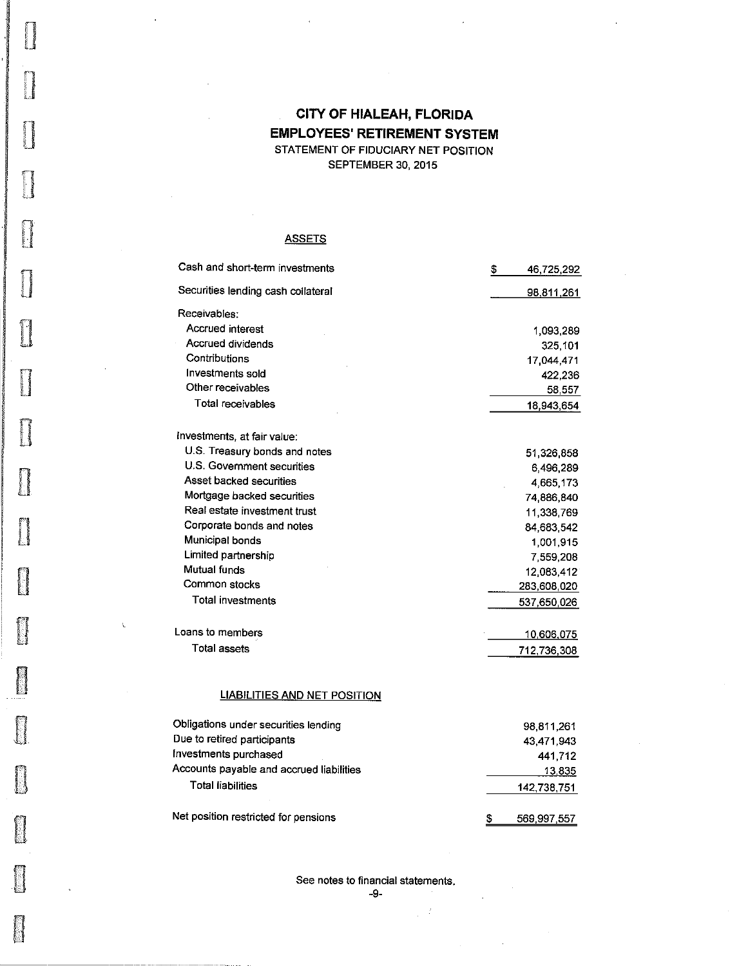# CITY OF HIALEAH, FLORIDA EMPLOYEES' RETIREMENT SYSTEM STATEMENT OF FIDUCIARY NET POSITION SEPTEMBER 30, 2015

# **ASSETS**

 $f_{\rm X}$   $\sim$ 

flexander<br>**flexander**<br>**flexander** 

 $\begin{bmatrix} 0 & 0 & 0 & 0 \\ 0 & 0 & 0 & 0 \\ 0 & 0 & 0 & 0 \\ 0 & 0 & 0 & 0 \\ 0 & 0 & 0 & 0 \\ 0 & 0 & 0 & 0 \\ 0 & 0 & 0 & 0 \\ 0 & 0 & 0 & 0 \\ 0 & 0 & 0 & 0 \\ 0 & 0 & 0 & 0 \\ 0 & 0 & 0 & 0 \\ 0 & 0 & 0 & 0 & 0 \\ 0 & 0 & 0 & 0 & 0 \\ 0 & 0 & 0 & 0 & 0 \\ 0 & 0 & 0 & 0 & 0 & 0 \\ 0 & 0 & 0 & 0 & 0 & 0 \\$ 

0 '

f] i ~.

 $p$  is the coronal part of  $\mathcal{L}$ 

|<br>|<br>|<br>|<br>|

n<br>Lindon<br>Lindon

na annsan<br>L

0

n<br>En el anton

 $\overline{1}$ 

0

**Designation** 

nommann)<br>Communication<br>Communication

n

g

 $\blacksquare$ 

 $\blacksquare$ .

| Cash and short-term investments    | \$<br>46,725,292 |
|------------------------------------|------------------|
| Securities lending cash collateral | 98,811,261       |
| Receivables:                       |                  |
| Accrued interest                   | 1,093,289        |
| Accrued dividends                  | 325,101          |
| Contributions                      | 17,044,471       |
| Investments sold                   | 422,236          |
| Other receivables                  | 58,557           |
| Total receivables                  | 18,943,654       |
| Investments, at fair value:        |                  |
| U.S. Treasury bonds and notes      | 51,326,858       |
| U.S. Government securities         | 6,496,289        |
| Asset backed securities            | 4,665.173        |
| Mortgage backed securities         | 74,886,840       |
| Real estate investment trust       | 11,338,769       |
| Corporate bonds and notes          | 84,683 542       |
| Municipal bonds                    | 1,001,915        |
| Limited partnership                | 7,559,208        |
| Mutual funds                       | 12,083,412       |
| Common stocks                      | 283,608,020      |
| <b>Total investments</b>           | 537,650,026      |
| Loans to members                   | 10,606,075       |
| <b>Total assets</b>                | 712,736,308      |
|                                    |                  |

# LIABILITIES AND NET POSITION

| Obligations under securities lending     | 98.811.261  |
|------------------------------------------|-------------|
| Due to retired participants              | 43 471 943  |
| Investments purchased                    | 441.712     |
| Accounts payable and accrued liabilities | 13.835      |
| <b>Total liabilities</b>                 | 142 738 751 |
| Net position restricted for pensions     | 569 997 557 |

See notes to financial statements.

 $\frac{1}{2} \left( \frac{d}{2} \right)$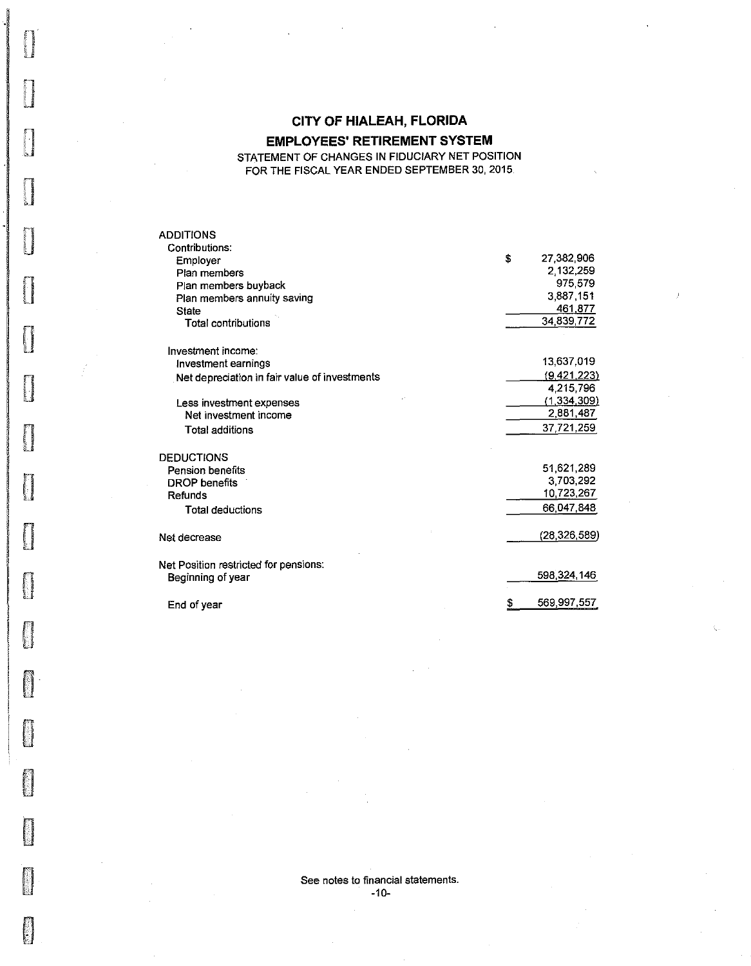# **CITY OF HIALEAH, FLORIDA**

0

fan de groepen.<br>Fan de groepen op de groepen.<br>Fan de groepen op de groepen. ا.<br>ا

"'] [

0 '

0

IO

jo<br>Literature<br>Literature

<u>पुरुषणम्</u><br>पु

0

0

0

**BANDARY** 

0<br>1990 - Paul Barnett, amerikanischer Politiker († 1930)<br>1990 - Paul Barnett, amerikanischer Politiker († 1930)<br>1990 - Paul Barnett, amerikanischer († 1930)<br>1990 - Paul Barnett, amerikanischer Politiker († 1930)<br>1990 - Pau

0

 $\mathbb{R}$ 

!

# **EMPLOYEES' RETIREMENT SYSTEM**

STATEMENT OF CHANGES IN FIDUCIARY NET POSITION FOR THE FISCAL YEAR ENDED SEPTEMBER 30, 2015.

| <b>ADDITIONS</b>                              |                   |
|-----------------------------------------------|-------------------|
| Contributions:                                |                   |
| Employer                                      | \$<br>27,382,906  |
| Plan members                                  | 2,132,259         |
| Plan members buyback                          | 975,579           |
| Plan members annuity saving                   | 3,887,151         |
| <b>State</b>                                  | 461,877           |
| <b>Total contributions</b>                    | 34,839,772        |
| Investment income:                            |                   |
| Investment earnings                           | 13.637,019        |
| Net depreciation in fair value of investments | (9,421,223)       |
|                                               | 4,215,796         |
| Less investment expenses                      | (1,334,309)       |
| Net investment income                         | 2,881,487         |
| <b>Total additions</b>                        | 37,721,259        |
| <b>DEDUCTIONS</b>                             |                   |
| <b>Pension benefits</b>                       | 51,621,289        |
| <b>DROP</b> benefits                          | 3,703,292         |
| Refunds                                       | 10,723,267        |
| <b>Total deductions</b>                       | 66,047,848        |
| Net decrease                                  | (28,326,589)      |
|                                               |                   |
| Net Position restricted for pensions:         |                   |
| Beginning of year                             | 598,324,146       |
| End of year                                   | \$<br>569,997,557 |

**See notes to financial statements.**  -10-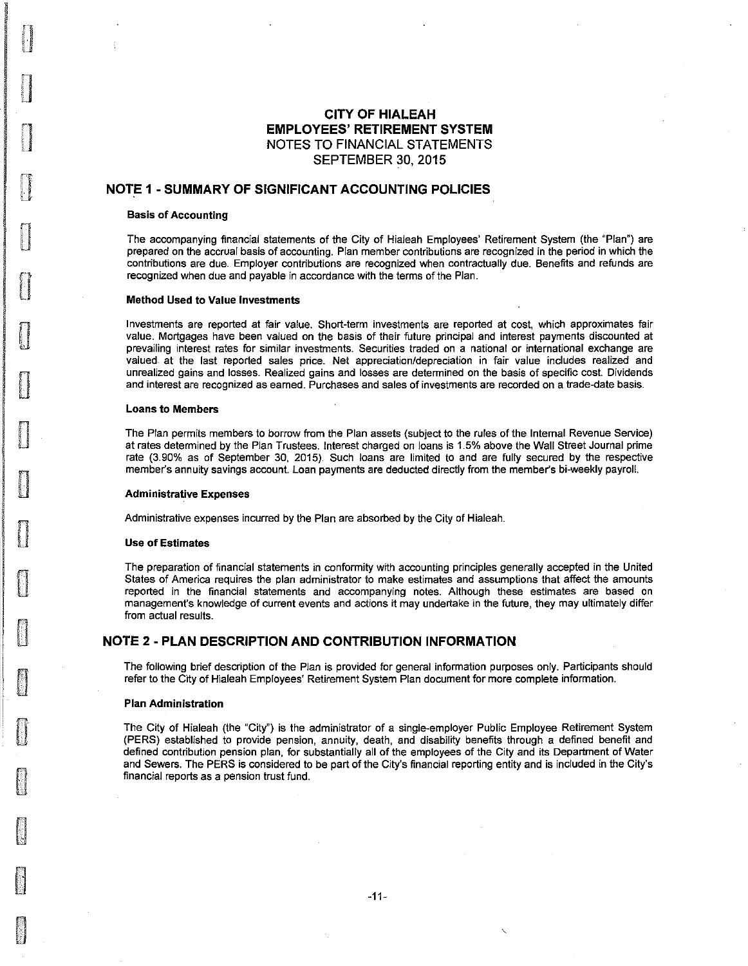## NOTE 1 -SUMMARY OF SIGNIFICANT ACCOUNTING POLICIES

#### **Basis of Accounting**

L •

r<br>Fannsen u<br>Umrli

 $\begin{bmatrix} 1 \\ 0 \end{bmatrix}$ 

~.I I t.

g<br>|-<br>| processionalist<br>|-

u pangangan<br>Universitas di kabupatèn Kabupatèn Kabupatèn Kabupatèn Kabupatèn Kabupatèn Kabupatèn Kabupatèn Kabu<br>Kabupatèn Kabupatèn Kabupatèn Kabupatèn Kabupatèn Kabupatèn Kabupatèn Kabupatèn Kabupatèn Kabupatèn Kabupatèn

In

i 10

0

0

000<br>1990<br>1990<br>1990<br>1990

 $\Box$ 

The accompanying financial statements of the City of Hialeah Employees' Retirement System (the "Plan") are prepared on the accrual basis of accounting. Plan member contributions are recognized in the period in which the contributions are due. Employer contributions are recognized when contractually due. Benefits and refunds are recognized when due and payable in accordance with the terms of the Plan.

#### Method Used to Value Investments

Investments are reported at fair value. Short-term investments are reported at cost, which approximates fair value. Mortgages have been valued on the basis of their future principal and interest payments discounted at prevailing interest rates for similar investments. Securities traded on a national or international exchange are valued. at the last reported sales price. Net appreciation/depreciation in fair value includes realized and unrealized gains and losses. Realized gains and losses are determined on the basis of specific cost. Dividends and interest are recognized as earned. Purchases and sales of investments are recorded on a trade-date basis.

#### **Loans to Members**

The Plan permits members to borrow from the Plan assets (subject to the rules of the Internal Revenue Service) at rates determined by the Plan Trustees. Interest charged on loans is 1.5% above the Wall Street Journal prime rate (3.90% as of September 30, 2015). Such loans are limited to and are fully secured by the respective member's annuity savings account. Loan payments are deducted directly from the member's bi-weekly payroll.

#### **Administrative Expenses**

Administrative expenses incurred by the Plan are absorbed by the City of Hialeah.

#### Use of Estimates

The preparation of financial statements in conformity with accounting principles generally accepted in the United States of America requires the plan administrator to make estimates and assumptions that affect the amounts reported in the financial statements and accompanying notes. Although these estimates are based on management's knowledge of current events and actions it may undertake in the future, they may ultimately differ from actual results.

### NOTE 2 - PLAN DESCRIPTION AND CONTRIBUTION INFORMATION

The following brief description of the Plan is provided for general information purposes only. Participants should refer to the City of Hialeah Employees' Retirement System Plan document for more complete information.

#### **Plan Administration**

The City of Hialeah (the "City") is the administrator of a single-employer Public Employee Retirement System (PERS) established to provide pension, annuity, death, and disability benefits through a defined benefit and defined contribution pension plan, for substantially all of the employees of the City and its Department of Water and Sewers. The PERS is considered to be part of the City's financial reporting entity and is included in the City's financial reports as a pension trust fund.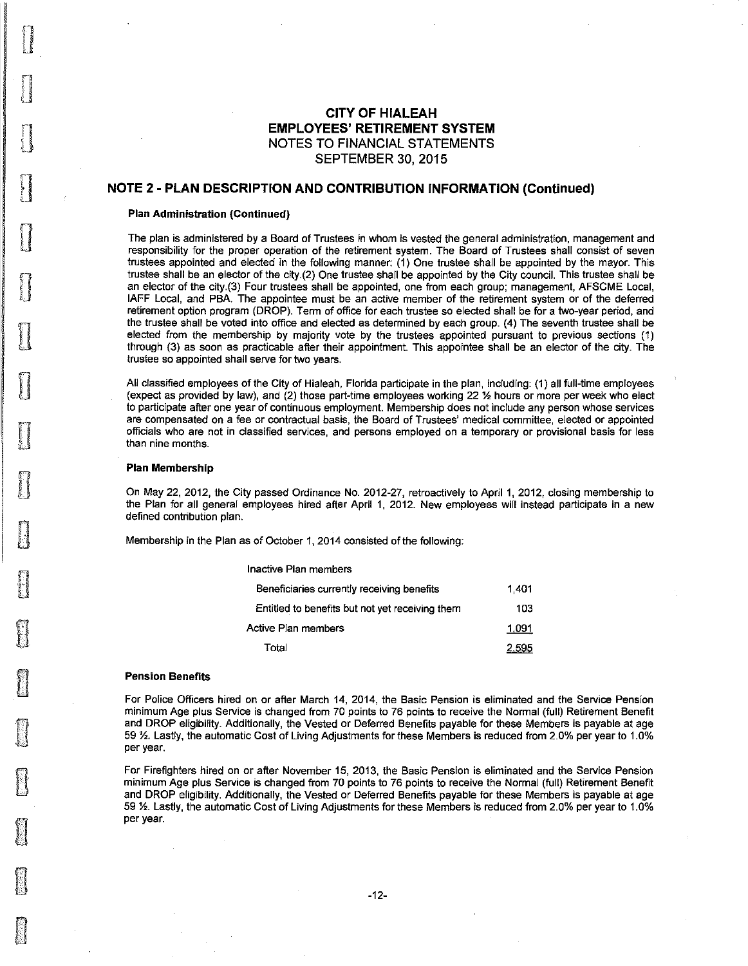### NOTE 2- PLAN DESCRIPTION AND CONTRIBUTION INFORMATION (Continued)

### Plan Administration (Continued)

'] r Ŝ.,

f<br>Bartholomew<br>Bartholomew e<br>'

}<br>|<br>|alamator «.·.

The plan is administered by a Board of Trustees in whom is vested the general administration, management and responsibility for the proper operation of the retirement system. The Board of Trustees shall consist of seven trustees appointed and elected in the following manner. (1) One trustee shall be appointed by the mayor. This trustee shall be an elector of the city.(2) One trustee shall be appointed by the City council. This trustee shall be an elector of the city.(3) Four trustees shall be appointed, one from each group; management, AFSCME Local, IAFF Local, and PBA. The appointee must be an active member of the retirement system or of the deferred retirement option program (DROP). Term of office for each trustee so elected shall be for a two-year period, and the trustee shall be voted into office and elected as determined by each group. (4) The seventh trustee shall be elected from the membership by majority vote by the trustees appointed pursuant to previous sections (1) through (3) as soon as practicable after their appointment. This appointee shall be an elector of the city. The trustee so appointed shall serve for two years.

All classified employees of the City of Hialeah, Florida participate in the plan, including: (1) all full-time employees (expect as provided by law), and (2) those part-time employees working 22 *Y,* hours or more per week who elect to participate after one year of continuous employment. Membership does not include any person whose services are compensated on a fee or contractual basis, the Board of Trustees' medical committee, elected or appointed officials who are not in classified services, and persons employed on a temporary or provisional basis for less than nine months.

#### Plan Membership

On May 22, 2012, the City passed Ordinance No. 2012-27, retroactively to April 1, 2012, closing membership to the Plan for all general employees hired after April 1, 2012. New employees will instead participate in a new defined contribution plan.

Membership in the Plan as of October 1, 2014 consisted of the following:

| Inactive Plan members                           |       |
|-------------------------------------------------|-------|
| Beneficiaries currently receiving benefits      | 1.401 |
| Entitled to benefits but not yet receiving them | 103.  |
| Active Plan members                             | 1.091 |
| Total                                           |       |

#### Pension Benefits

For Police Officers hired on or after March 14, 2014, the Basic Pension is eliminated and the Service Pension minimum Age plus Service is changed from 70 points to 76 points to receive the Normal (full) Retirement Benefit and DROP eligibility. Additionally, the Vested or Deferred Benefits payable for these Members is payable at age 59%. Lastly, the automatic Cost of Living Adjustments for these Members is reduced from 2.0% per year to 1.0% per year.

For Firefighters hired on or after November 15, 2013, the Basic Pension is eliminated and the Service Pension minimum Age plus Service is changed from 70 points to 76 points to receive the Normal (full) Retirement Benefit and DROP eligibility. Additionally, the Vested or Deferred Benefits payable for these Members is payable at age 59 %. Lastly, the automatic Cost of Living Adjustments for these Members is reduced from 2.0% per year to 1.0% per year.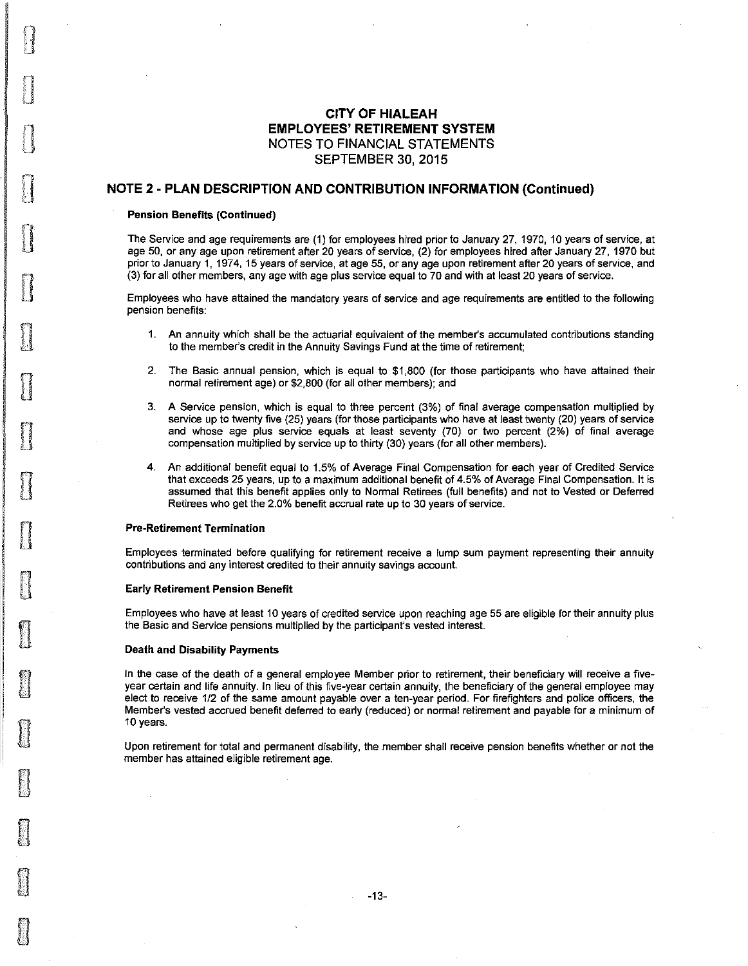### NOTE 2- PLAN DESCRIPTION AND CONTRIBUTION INFORMATION (Continued)

#### Pension Benefits (Continued)

'.·.·.'] ' r .. تى)

fl M

*r1* !

India<br>India<br>India<br>India

**.**<br>[11]

!

n

The Service and age requirements are (1) for employees hired prior to January 27, 1970, 10 years of service, at age 50, or any age upon retirement after 20 years of service, (2) for employees hired after January 27, 1970 but prior to January 1, 1974, 15 years of service, at age 55, or any age upon retirement after 20 years of service, and (3) for all other members, any age with age plus service equal to 70 and with at least 20 years of service.

Employees who have attained the mandatory years of service and age requirements are entitled to the following pension benefits:

- 1. An annuity which shall be the actuarial equivalent of the member's accumulated contributions standing to the member's credit in the Annuity Savings Fund at the time of retirement;
- 2. The Basic annual pension, which is equal to \$1,800 (for those participants who have attained their normal retirement age) or \$2,800 (for all other members); and
- 3. A Service pension, which is equal to three percent (3%) of final average compensation multiplied by service up to twenty five (25) years (for those participants who have at least twenty (20) years of service and whose age plus service equals at least seventy (70) or two percent (2%) of final average compensation multiplied by service up to thirty (30) years (for all other members).
- 4. An additional benefit equal to 1.5% of Average Final Compensation for each year of Credited Service that exceeds 25 years, up to a maximum additional benefit of 4.5% of Average Final Compensation. It is assumed that this benefit applies only to Normal Retirees (full benefits) and not to Vested or Deferred Retirees who get the 2.0% benefit accrual rate up to 30 years of service.

#### Pre-Retirement Termination

Employees terminated before qualifying for retirement receive a lump sum payment representing their annuity contributions and any interest credited to their annuity savings account.

#### Early Retirement Pension Benefit

Employees who have at least 10 years of credited service upon reaching age 55 are eligible tor their annuity plus the Basic and Service pensions multiplied by the participant's vested interest.

#### Death and Disability Payments

In the case of the death of a general employee Member prior to retirement, their beneficiary will receive a fiveyear certain and life annuity. In lieu of this five-year certain annuity, the beneficiary of the general employee may elect to receive 1/2 of the same amount payable over a ten-year period. For firefighters and police officers, the Member's vested accrued benefit deferred to early (reduced) or normal retirement and payable for a minimum of 10 years.

Upon retirement for total and permanent disability, the member shall receive pension benefits whether or not the member has attained eligible retirement age.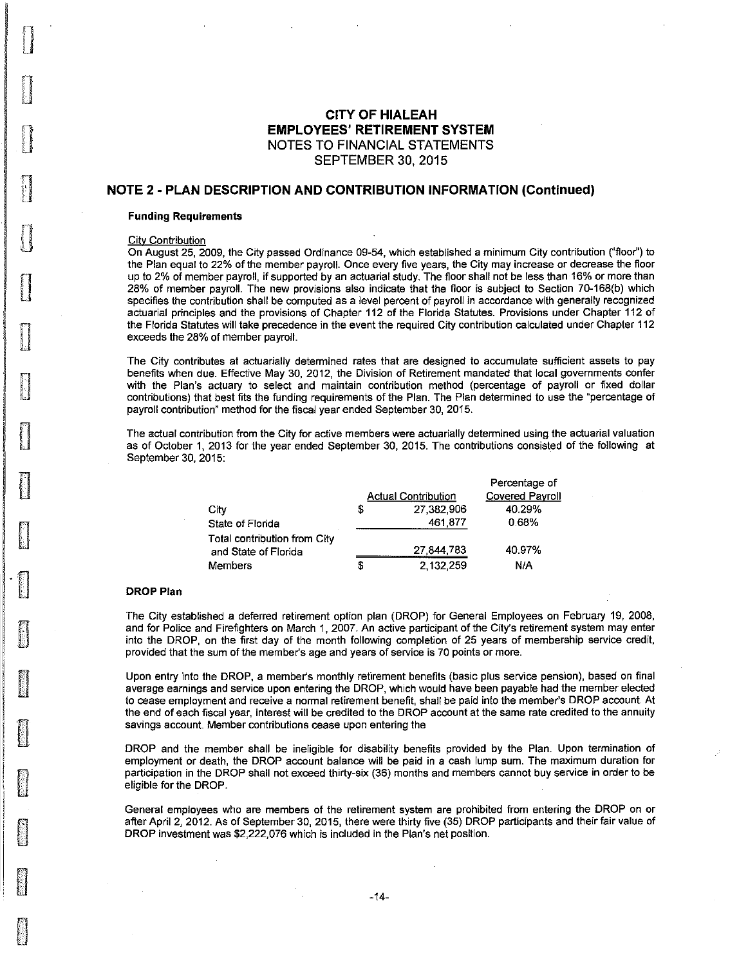## NOTE 2 - PLAN DESCRIPTION AND CONTRIBUTION INFORMATION (Continued)

#### Funding Requirements

### **City Contribution**

' .. '.·] :; lt

n u

ir, rl

0 .<br>1990 - 1990 - 1990 - 1990 - 1990 - 1990 - 1990 - 1990 - 1990 - 1990 - 1990 - 1990 - 1990 - 1990 - 1990 - 1990<br>1990 - 1990 - 1990 - 1990 - 1990 - 1990 - 1990 - 1990 - 1990 - 1990 - 1990 - 1990 - 1990 - 1990 - 1990 - 199 . .<br>.<br>.<br>.

r] ! t

IJ

iconsideration<br>Altre approaches

**I**<br>III<br>III

n 1999<br>Ngjarje<br>Ngjarje

n<br>National Company of the Company of the Company of the Company of the Company of the Company of the Company of

 $\mathbb{R}$   $\mathbb{R}$   $\mathbb{R}$   $\mathbb{R}$ 

<u>n</u>

On August 25, 2009, the City passed Ordinance 09-54, which established a minimum City contribution ("floor") to the Plan equal to 22% of the member payroll. Once every five years, the City may increase or decrease the floor up to 2% of member payroll, if supported by an actuarial study. The floor shall not be less than 16% or more than 28% of member payroll. The new provisions also indicate that the floor is subject to Section 70-168(b) which specifies the contribution shall be computed as a level percent of payroll in accordance with generally recognized actuarial principles and the provisions of Chapter 112 of the Florida Statutes. Provisions under Chapter 112 of the Florida Statutes will lake precedence in the event the required City contribution calculated under Chapter 112 exceeds the 28% of member payroll.

The City contributes at actuarially determined rates that are designed to accumulate sufficient assets to pay benefits when due. Effeciive May 30, 2012, the Division of Retirement mandated that local governments confer with the Plan's actuary to select and maintain contribution method (percentage of payroll or fixed dollar contributions) that best fits the funding requirements of the Plan. The Plan determined to use the "percentage of payroll contribution" method for the fiscal year ended September 30, 2015.

The actual contribution from the City for active members were actuarially determined using the actuarial valuation as of October 1, 2013 for the year ended September 30, 2015. The contributions consisted of the following at September 30, 2015:

|                              |                            | Percentage of          |
|------------------------------|----------------------------|------------------------|
|                              | <b>Actual Contribution</b> | <b>Covered Payroll</b> |
| City                         | \$<br>27,382,906           | 40.29%                 |
| State of Florida             | 461877                     | 0.68%                  |
| Total contribution from City |                            |                        |
| and State of Florida         | 27,844,783                 | 40.97%                 |
| Members                      | \$<br>2,132,259            | N/A                    |

#### DROP Plan

The City established a deferred retirement option plan (DROP) for General Employees on February 19, 2008, and for Police and Firefighters on March 1, 2007. An active participant of the City's retirement system may enter into the DROP, on the first day of the month following completion of 25 years of membership service credit, provided that the sum of the member's age and years of service is 70 points or more.

Upon entry into the DROP, a member's monthly retirement benefits (basic plus service pension), based on final average earnings and service upon entering the DROP, which would have been payable had the member elected to cease employment and receive a normal retirement benefit, shall be paid into the member's DROP account. At the end of each fiscal year, interest will be credited to the DROP account at the same rate credited to the annuity savings account. Member contributions cease upon entering the

DROP and the member shall be ineligible for disability benefits provided by the Plan. Upon termination of employment or death, the DROP account balance will be paid in a cash lump sum. The maximum duration for participation in the DROP shall not exceed thirty-six (36) months and members cannot buy service in order to be eligible for the DROP.

General employees who are members of the retirement system are prohibited from entering the DROP on or after April 2, 2012. As of September 30, 2015, there were thirty five (35) DROP participants and their fair value of DROP investment was \$2,222,076 which is included in the Plan's net position.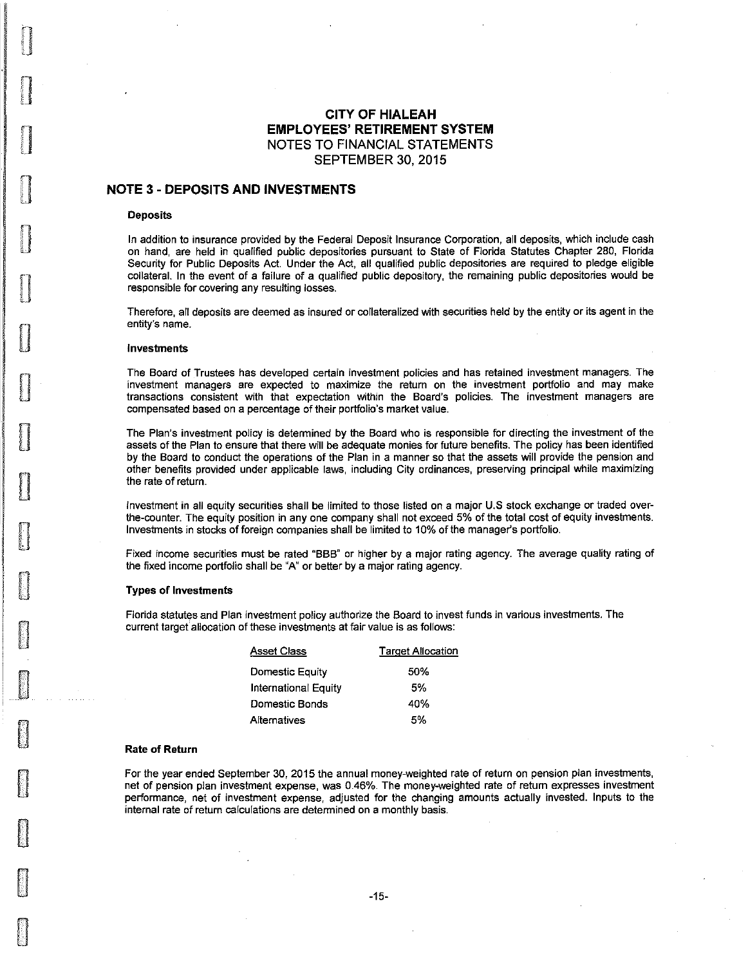## NOTE 3 - DEPOSITS AND INVESTMENTS

#### **Deposits**

'.' •. ·] ,'{ t

n u

0 . .

0 .

r.·] t

 $\Box$ 

0 I .<br>1

**I designation** 

lo

**000** 

0

<u>000 - 1000 - 1000 - 1000 - 1000 - 1000 - 1000 - 1000 - 1000 - 1000 - 1000 - 1000 - 1000 - 1000 - 1000 - 1000 </u>

**000** 

I

In addition to insurance provided by the Federal Deposit Insurance Corporation, all deposits, which include cash on hand, are held in qualified public depositories pursuant to State of Florida Statutes Chapter 280, Florida Security for Public Deposits Act. Under the Act, all qualified public depositories are required to pledge eligible collateral. In the event of a failure of a qualified public depository, the remaining public depositories would be responsible for covering any resulting losses.

Therefore, all deposits are deemed as insured or collateralized with securities held by the entity or its agent in the entity's name.

#### Investments

The Board of Trustees has developed certain investment policies and has retained investment managers. The investment managers are expected to maximize the return on the investment portfolio and may make transactions consistent with that expectation within the Board's policies. The investment managers are compensated based on a percentage of their portfolio's market value.

The Plan's investment policy is determined by the Board who is responsible for directing the investment of the assets of the Plan to ensure that there will be adequate monies for future benefits. The policy has been identified by the Board to conduct the operations of the Plan in a manner so that the assets will provide the pension and other benefits provided under applicable laws, including City ordinances, preserving principal while maximizing the rate of return.

Investment in all equity securities shall be limited to those listed on a major U.S stock exchange or traded overthe-counter. The equity position in any one company shall not exceed 5% of the total cost of equity investments. Investments in stocks of foreign companies shall be limited to 10% of the manager's portfolio.

Fixed income securities must be rated "BBB" or higher by a major rating agency. The average quality rating of the fixed income portfolio shall be "A" or better by a major rating agency.

#### Types of Investments

Florida statutes and Plan investment policy authorize the Board to invest funds in various investments. The current target allocation of these investments at fair value is as follows:

| <b>Asset Class</b>          | <b>Target Allocation</b> |
|-----------------------------|--------------------------|
| Domestic Equity             | 50%                      |
| <b>International Equity</b> | 5%                       |
| Domestic Bonds              | 40%                      |
| Alternatives                | 5%                       |

#### Rate of Return

For the year ended September 30, 2015 the annual money-weighted rate of return on pension plan investments, net of pension plan investment expense, was 0.46%. The money-weighted rate of return expresses investment performance, net of investment expense, adjusted for the changing amounts actually invested. Inputs to the internal rate of return calculations are determined on a monthly basis.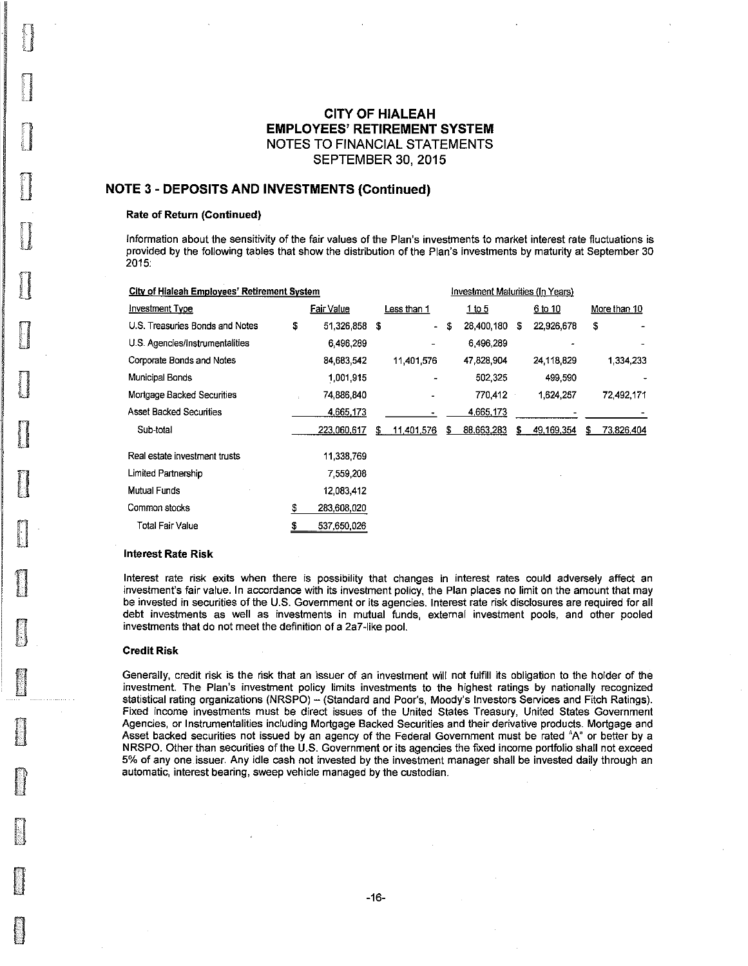# NOTE 3 - DEPOSITS AND INVESTMENTS (Continued)

### Rate of Return (Continued}

n . .

**n** . .

ganasan<br>Lihat u

fl ~

g 'n beskieden.<br>**Die volle van die van die van die van die van die van die van die van die van die van die van die van die van d** 

f<br>Florence (1980)<br>The Content of Content of The Content of Content of The Content of Content of The Content of Conte

 $\Box$ 

Information about the sensitivity of the fair values of the Plan's investments to market interest rate fluctuations is provided by the following tables that show the distribution of the Plan's investments by maturity at September 30 2015:

| <b>City of Hialeah Employees' Retirement System</b> |                     |   |                          |    | Investment Maturities (In Years) |    |                |    |              |
|-----------------------------------------------------|---------------------|---|--------------------------|----|----------------------------------|----|----------------|----|--------------|
| <b>Investment Type</b>                              | Fair Value          |   | Less than 1              |    | <u>1 to 5</u>                    |    | <u>6 to 10</u> |    | More than 10 |
| U.S. Treasuries Bonds and Notes                     | \$<br>51,326,858 \$ |   | ÷.                       | \$ | 28,400,180                       | S  | 22,926,678     | \$ |              |
| U.S. Agencies/Instrumentalities                     | 6 496,289           |   |                          |    | 6,496,289                        |    |                |    |              |
| Corporate Bonds and Notes                           | 84 683 542          |   | 11,401,576               |    | 47,828.904                       |    | 24,118,829     |    | 1 334,233    |
| Municipal Bonds                                     | 1,001,915           |   | $\overline{\phantom{a}}$ |    | 502 325                          |    | 499,590        |    |              |
| Mortgage Backed Securities                          | 74.886,840          |   |                          |    | 770.412                          |    | 1,624,257      |    | 72 492,171   |
| <b>Asset Backed Securities</b>                      | 4,665,173           |   |                          |    | 4,665,173                        |    |                |    |              |
| Sub-total                                           | 223 060.617         | S | 11 401 576               | 5  | 88,663,283                       | \$ | 49,169,354     | S  | 73,826,404   |
| Real estate investment trusts                       | 11.338.769          |   |                          |    |                                  |    |                |    |              |
| Limited Partnership                                 | 7 559,208           |   |                          |    |                                  |    |                |    |              |
| Mutual Funds                                        | 12.083.412          |   |                          |    |                                  |    |                |    |              |
| Common stocks                                       | \$<br>283,608,020   |   |                          |    |                                  |    |                |    |              |
| Total Fair Value                                    | \$<br>537,650,026   |   |                          |    |                                  |    |                |    |              |

#### Interest Rate Risk

Interest rate risk exits when there is possibility that changes in interest rates could adversely affect an investment's fair value. In accordance with its investment policy, the Plan places no limit on the amount that may be invested in securities of the U.S. Government or its agencies. Interest rate risk disclosures are required for all debt investments as well as investments in mutual funds, external investment pools, and other pooled investments that do not meet the definition of a 2a7 -like pool.

#### Credit Risk

Generally, credit risk is the risk that an issuer of an investment will not fulfill its obligation to the holder of the investment. The Plan's investment policy limits investments to the highest ratings by nationally recognized statistical rating organizations (NRSPO) - (Standard and Poor's, Moody's Investors Services and Fitch Ratings). Fixed income investments must be direct issues of the United States Treasury, United States Government Agencies, or Instrumentalities including Mortgage Backed Securities and their derivative products. Mortgage and Asset backed securities not issued by an agency of the Federal Government must be rated "A" or better by a NRSPO. Other than securities of the U.S. Government or its agencies the fixed income portfolio shall not exceed 5% of any one issuer. Any idle cash not invested by the investment manager shall be invested daily through an automatic, interest bearing, sweep vehicle managed by the custodian.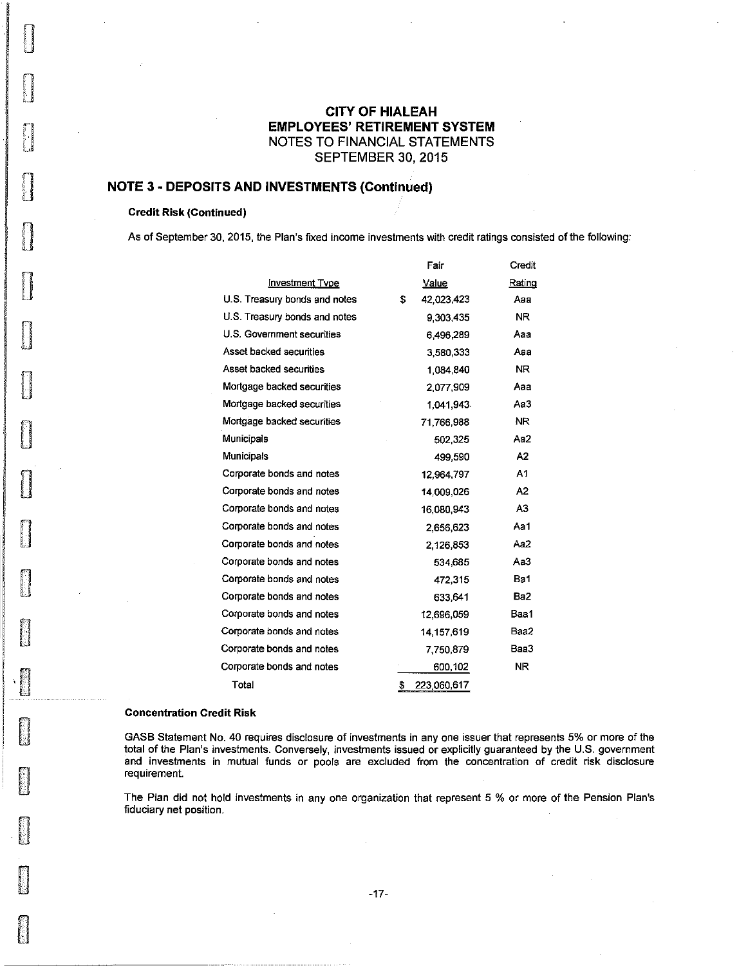# NOTE 3 - DEPOSITS AND INVESTMENTS (Continued)

### Credit Risk (Continued)

*i!*  ii,  $\mathbb{L}$ 

<u>000 - 1000 - 1000 - 1000 - 1000 - 1000 - 1000 - 1000 - 1000 - 1000 - 1000 - 1000 - 1000 - 1000 - 1000 - 1000 </u>

<u>00 - 100 - 100 - 100 - 100 - 100 - 100 - 100 - 100 - 100 - 100 - 100 - 100 - 100 - 100 - 100 - 100 - 100 - 100 - 100 - 100 - 100 - 100 - 100 - 100 - 100 - 100 - 100 - 100 - 100 - 100 - 100 - 100 - 100 - 100 - 100 - 100 - </u>

 $\Box$ 

1. n iuw.<br>1. n iuw.<br>1. n iuw.

'O

 $\Box$ 

00<br>1990<br>1990<br>1990

0<br>1990 - 1990 - 1990 - 1990 - 1990 - 1990 - 1990 - 1990 - 1990 - 1990 - 1990 - 1990 - 1990 - 1990 - 1990 - 199<br>1990 - 1990 - 1990 - 1990 - 1990 - 1990 - 1990 - 1990 - 1990 - 1990 - 1990 - 1990 - 1990 - 1990 - 1990 - 1990

<u>000 - 1000 - 1000 - 1000 - 1000 - 1000 - 1000 - 1000 - 1000 - 1000 - 1000 - 1000 - 1000 - 1000 - 1000 - 1000 </u><br>1000 - 1000 - 1000 - 1000 - 1000 - 1000 - 1000 - 1000 - 1000 - 1000 - 1000 - 1000 - 1000 - 1000 - 1000 - 1000<br>

D

As of September 30, 2015, the Plan's fixed income investments with credit ratings consisted of the following:

|                               |         | Fair         | Credit |
|-------------------------------|---------|--------------|--------|
| Investment Type               |         | Value        | Ratino |
| U.S. Treasury bonds and notes | \$      | 42,023,423   | Aaa    |
| U.S. Treasury bonds and notes |         | 9.303,435    | NR.    |
| U.S. Government securities    |         | 6,496,289    | Aaa    |
| Asset backed securities       |         | 3,580,333    | Aaa    |
| Asset backed securities       |         | 1.084,840    | NR.    |
| Mortgage backed securities    |         | 2,077,909    | Ааа    |
| Mortgage backed securities    |         | 1,041,943    | Aa3    |
| Mortgage backed securities    |         | 71.766.988   | NR.    |
| Municipals                    |         | 502,325      | Aa2    |
| Municipals                    |         | 499,590      | A2     |
| Corporate bonds and notes     |         | 12.964,797   | A1     |
| Corporate bonds and notes     |         | 14.009.026   | A2     |
| Corporate bonds and notes     |         | 16,080,943   | A3     |
| Corporate bonds and notes     |         | 2,656,623    | Aa1    |
| Corporate bonds and notes     |         | 2,126,853    | Aa2    |
| Corporate bonds and notes     |         | 534.685      | Aa3    |
| Corporate bonds and notes     | 472,315 |              | Ba1    |
| Corporate bonds and notes     | 633,641 |              | Ba2    |
| Corporate bonds and notes     |         | 12,696,059   | Baa1   |
| Corporate bonds and notes     |         | 14, 157, 619 | Baa2   |
| Corporate bonds and notes     |         | 7,750,879    | Baa3   |
| Corporate bonds and notes     |         | 600,102      | NR.    |
| Total                         | \$      | 223,060,617  |        |

### Concentration Credit Risk

GASB Statement No. 40 requires disclosure of investments in any one issuer that represents 5% or more of the total of the Plan's investments. Conversely, investments issued or explicitly guaranteed by the U.S. government and investments in mutual funds or pools are excluded from the concentration of credit risk disclosure requirement.

The Plan did not hold investments in any one organization that represent 5 % or more of the Pension Plan's fiduciary net position.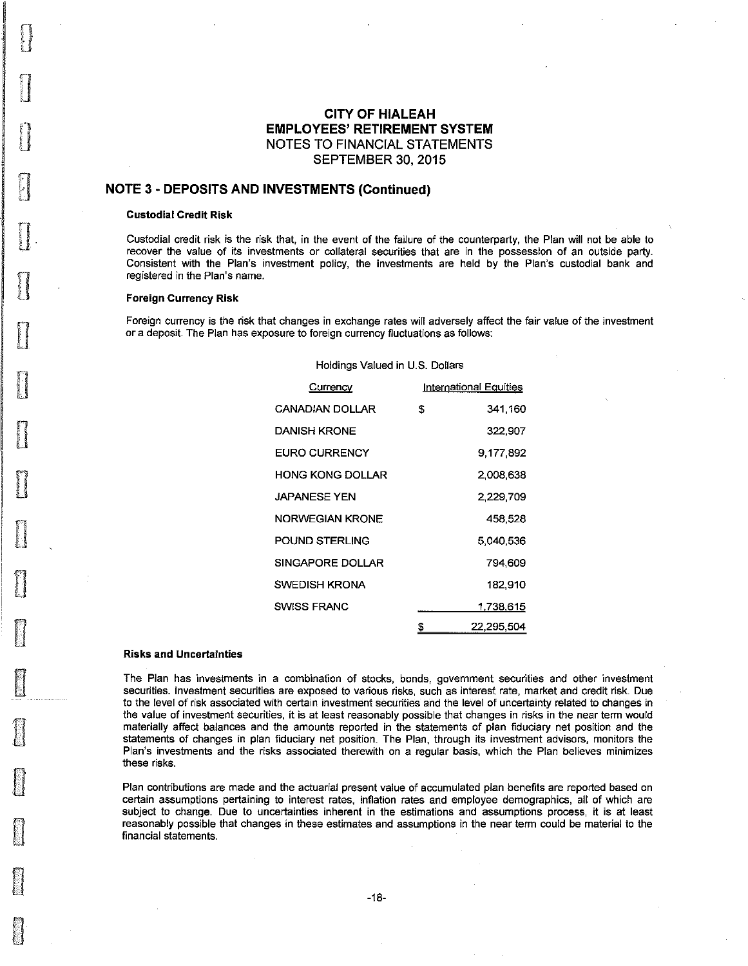# NOTE 3 - DEPOSITS AND INVESTMENTS (Continued)

#### Custodial Credit Risk

".'.] " !:~ l

f] !' '

n unda<br>Uga dan masa dan kacamatan ing kacamatan ing kacamatan ing kacamatan ing kacamatan ing kacamatan ing kacamatan<br>Uga dan kacamatan ing kacamatan ing kacamatan ing kacamatan ing kacamatan ing kacamatan ing kacamatan ing

<u>. 1988 - 1998 - 1998 - 1998 - 1998 - 1998 - 1998 - 1998 - 1998 - 1998 - 1998 - 1998 - 1998 - 1998 - 1998 - 1998 - 1998 - 1998 - 1998 - 1998 - 1998 - 1998 - 1998 - 1998 - 1998 - 1998 - 1998 - 1998 - 1998 - 1998 - 1998 - 19</u>

f] !. .

f] I• I ć,

**[**<br>**International** .

**notation** 

 $\Box$ 

n .

Custodial credit risk is the risk that, in the event of the failure of the counterparty, the Plan will not be able to recover the value of its investments or collateral securities that are in the possession of an outside party. Consistent with the Plan's investment policy, the investments are held by the Plan's custodial bank and registered in the Plan's name.

#### Foreign Currency Risk

Foreign currency is the risk that changes in exchange rates will adversely affect the fair value of the investment or a deposit. The Plan has exposure to foreign currency fluctuations as follows:

| Currency                | International Equities |  |  |
|-------------------------|------------------------|--|--|
| CANADIAN DOLLAR         | \$<br>341,160          |  |  |
| <b>DANISH KRONE</b>     | 322,907                |  |  |
| <b>FURO CURRENCY</b>    | 9,177,892              |  |  |
| <b>HONG KONG DOLLAR</b> | 2,008,638              |  |  |
| JAPANESE YEN            | 2,229,709              |  |  |
| NORWEGIAN KRONE         | 458,528                |  |  |
| POUND STERLING          | 5,040,536              |  |  |
| SINGAPORE DOLLAR        | 794,609                |  |  |
| SWEDISH KRONA           | 182,910                |  |  |
| <b>SWISS FRANC</b>      | 1.738,615              |  |  |
|                         | 22,295,504<br>S        |  |  |

#### Holdings Valued in U.S. Dollars

#### Risks and Uncertainties

The Plan has investments in a combination of stocks, bonds, government securities and other investment securities. Investment securities are exposed to various risks, such as interest rate, market and credit risk. Due to the level of risk associated with certain investment securities and the level of uncertainty related to changes in the value of investment securities, it is at least reasonably possible that changes in risks in the near term would materially affect balances and the amounts reported in the statements of plan fiduciary net position and the statements of changes in plan fiduciary net position. The Plan, through its investment advisors, monitors the Plan's investments and the risks associated therewith on a regular basis, which the Plan believes minimizes these risks.

Plan contributions are made and the actuarial present value of accumulated plan benefits are reported based on certain assumptions pertaining to interest rates, inflation rates and employee demographics, all of which are subject to change. Due to uncertainties inherent in the estimations and assumptions process, it is at least reasonably possible that changes in these estimates and assumptions in the near term could be material to the financial statements.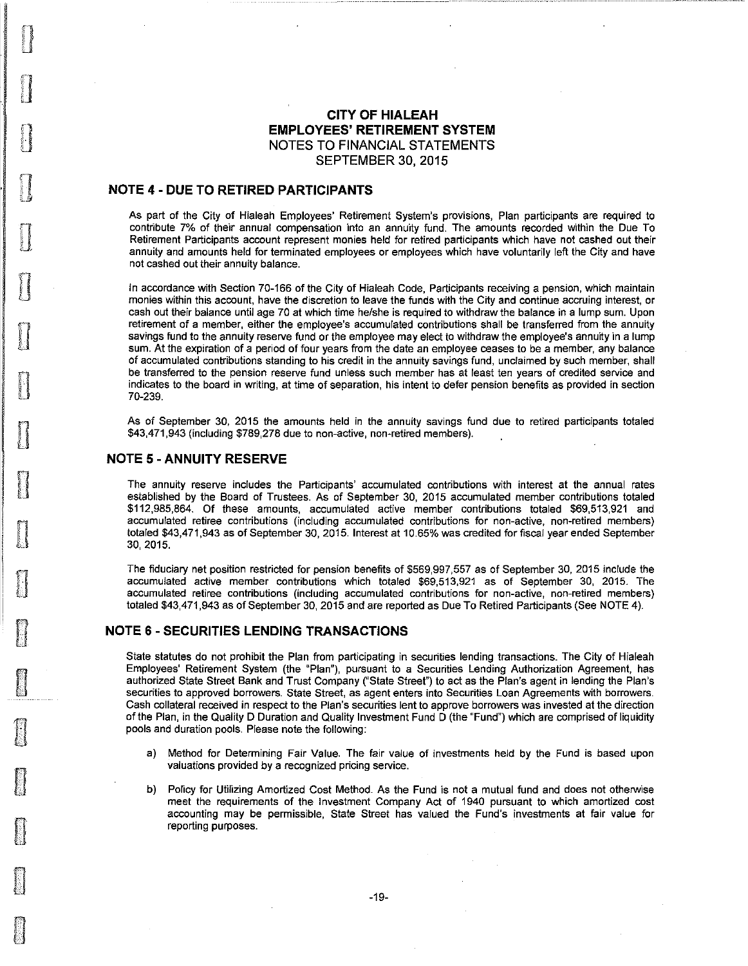### **NOTE 4- DUE TO RETIRED PARTICIPANTS**

rJ· );

n . '

g<br>The Company of the Company of the Company of the Company of the Company of the Company of the Company of the<br>The Company of the Company of the Company of the Company of the Company of the Company of the Company of the

**0** 

As part of the City of Hialeah Employees' Retirement System's provisions, Plan participants are required to **contribute 7% of their annual compensation into an annuity fund. The amounts recorded within the Due To Retirement Participants account represent monies held for retired participants which have not cashed out their**  annuity and amounts held for terminated employees or employees which have voluntarily left the City and have **not cashed out their annuity balance.** 

In accordance with Section 70-166 of the City of Hialeah Code, Participants receiving a pension, which maintain **monies within this account, have the discretion to leave the funds with the City and continue accruing interest, or**  cash out their balance until age 70 at which time he/she is required to withdraw the balance in a lump sum. Upon **retirement of a member, either the employee's accumulated contributions shall be transferred from the annuity savings fund to the annuity reserve fund or the employee may elect to withdraw the employee's annuity in a lump sum. At the expiration of a period of four years from the date an employee ceases to be a member, any balance of accumulated contributions standing to his credit in the annuity savings fund, unclaimed by such member, shall be transferred to the pension reserve fund unless such member has at least ten years of credited service and indicates to the board in writing, at time of separation, his intent to defer pension benefits as provided in section**  70-239.

As of September 30, 2015 the amounts held in the annuity savings fund due to retired participants totaled \$43,471,943 (including \$789,278 due to non-active, non-retired members).

### **NOTE 5 -ANNUITY RESERVE**

**The annuity reserve includes the Participants' accumulated contributions with interest at the annual rates**  established by the Board of Trustees. As of September 30, 2015 accumulated member contributions totaled \$112,985,864. Of these amounts, accumulated active member contributions totaled \$69,513,921 and **accumulated retiree contributions (including accumulated contributions for non-active, non-retired members)**  totaled \$43,471,943 as of September 30, 2015. Interest at 10.65% was credited for fiscal year ended September 30, 2015.

The fiduciary net position restricted for pension benefits of \$569,997,557 as of September 30, 2015 include the accumulated active member contributions which totaled \$69,513,921 as of September 30, 2015. The **accumulated retiree contributions (including accumulated contributions for non-active, non-retired members)**  totaled \$43,471,943 as of September 30, 2015 and are reported as Due To Retired Participants (See NOTE 4).

### **NOTE 6 -SECURITIES LENDING TRANSACTIONS**

State statutes do not prohibit the Plan from participating in securities lending transactions. The City of Hialeah **Employees' Retirement System (the "Plan"), pursuant to a Securities Lending Authorization Agreement, has**  authorized State Street Bank and Trust Company ("State Street") to act as the Plan's agent in lending the Plan's **securities to approved borrowers. State Street, as agent enters into Securities Loan Agreements with borrowers. Cash collateral received in respect to the Plan's securities lent to approve borrowers was invested at the direction**  of the Plan, in the Quality D Duration and Quality Investment Fund D (the "Fund") which are comprised of liquidity **pools and duration pools. Please note the following:** 

- a) Method for Determining Fair Value. The fair value of investments held by the Fund is based upon **valuations provided by a recognized pricing service.**
- b) Policy for Utilizing Amortized Cost Method. As the Fund is not a mutual fund and does not otherwise meet the requirements of the Investment Company Act of 1940 pursuant to which amortized cost **accounting may be permissible, State Street has valued the Fund's investments at fair value for reporting purposes.**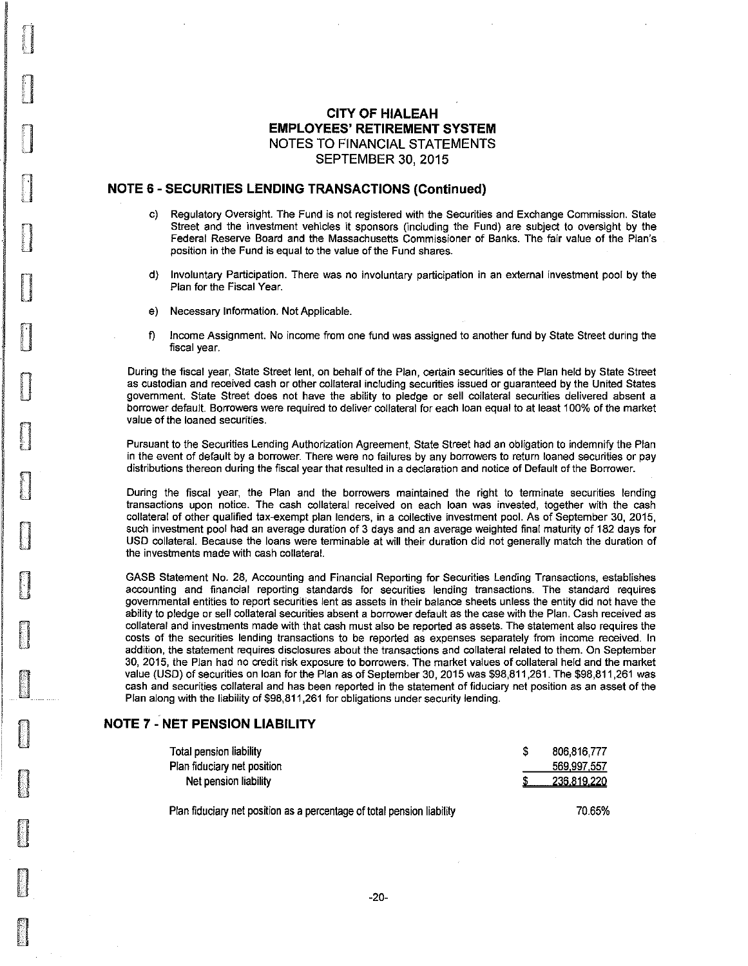## NOTE 6 -SECURITIES LENDING TRANSACTIONS (Continued)

- c) Regulatory Oversight. The Fund is not registered with the Securities and Exchange Commission. State Street and the investment vehicles it sponsors (including the Fund) are subject to oversight by the Federal Reserve Board and the Massachusetts Commissioner of Banks. The fair value of the Plan's position in the Fund is equal to the value of the Fund shares.
- d) Involuntary Participation. There was no involuntary participation in an external investment pool by the Plan for the Fiscal Year.
- e) Necessary Information. Not Applicable.

r.:. I. iL

0 . .

i<br>Immune ë,

0 . film<br>Film

r.] L

<u>000 - 1000 - 1000 - 1000 - 1000 - 1000 - 1000 - 1000 - 1000 - 1000 - 1000 - 1000 - 1000 - 1000 - 1000 - 1000 - 1000 - 1000 - 1000 - 1000 - 1000 - 1000 - 1000 - 1000 - 1000 - 1000 - 1000 - 1000 - 1000 - 1000 - 1000 - 1000 </u>

n<br>Northean u

n u

<u>01 - 12 A</u>

D

f) Income Assignment. No income from one fund was assigned to another fund by State Street during the fiscal year.

During the fiscal year, State Street lent, on behalf of the Plan, certain securities of the Plan held by State Street as custodian and received cash or other collateral including securities issued or guaranteed by the United States government. State Street does not have the ability to pledge or sell collateral securities delivered absent a borrower default. Borrowers were required to deliver collateral for each loan equal to at least 100% of the market value of the loaned securities.

Pursuant to the Securities Lending Authorization Agreement, State Street had an obligation to indemnify the Plan in the event of default by a borrower. There were no failures by any borrowers to return loaned securities or pay distributions thereon during the fiscal year that resulted in a declaration and notice of Default of the Borrower.

During the fiscal year, the Plan and the borrowers maintained the right to terminate securities lending transactions upon notice. The cash collateral received on each loan was invested, together with the cash collateral of other qualified tax-exempt plan lenders, in a collective investment pool. As of September 30, 2015, such investment pool had an average duration of 3 days and an average weighted final maturity of 182 days for USD collateral. Because the loans were terminable at will their duration did not generally match the duration of the investments made with cash collateral.

GASB Statement No. 28, Accounting and Financial Reporting for Securities Lending Transactions, establishes accounting and financial reporting standards for securities lending transactions. The standard requires governmental entities to report securities lent as assets in their balance sheets unless the entity did not have the ability to pledge or sell collateral securities absent a borrower default as the case with the Plan. Cash received as collateral and investments made with that cash must also be reported as assets. The statement also requires the costs of the securities lending transactions to be reported as expenses separately from income received. In addition, the statement requires disclosures about the transactions and collateral related to them. On September 30, 2015, the Plan had no credit risk exposure to borrowers. The market values of collateral held and the market value (USD) of securities on loan for the Plan as of September 30, 2015 was \$98,811,261. The \$98,811,261 was cash and securities collateral and has been reported in the statement of fiduciary net position as an asset of the Plan along with the liability of \$98,811,261 for obligations under security lending.

### NOTE 7 - NET PENSION LIABILITY

| Total pension liability     | 806.816.777      |
|-----------------------------|------------------|
| Plan fiduciary net position | 569,997,557      |
| Net pension liability       | $$-.236.819.220$ |

Plan fiduciary net position as a percentage of total pension liability

70.65%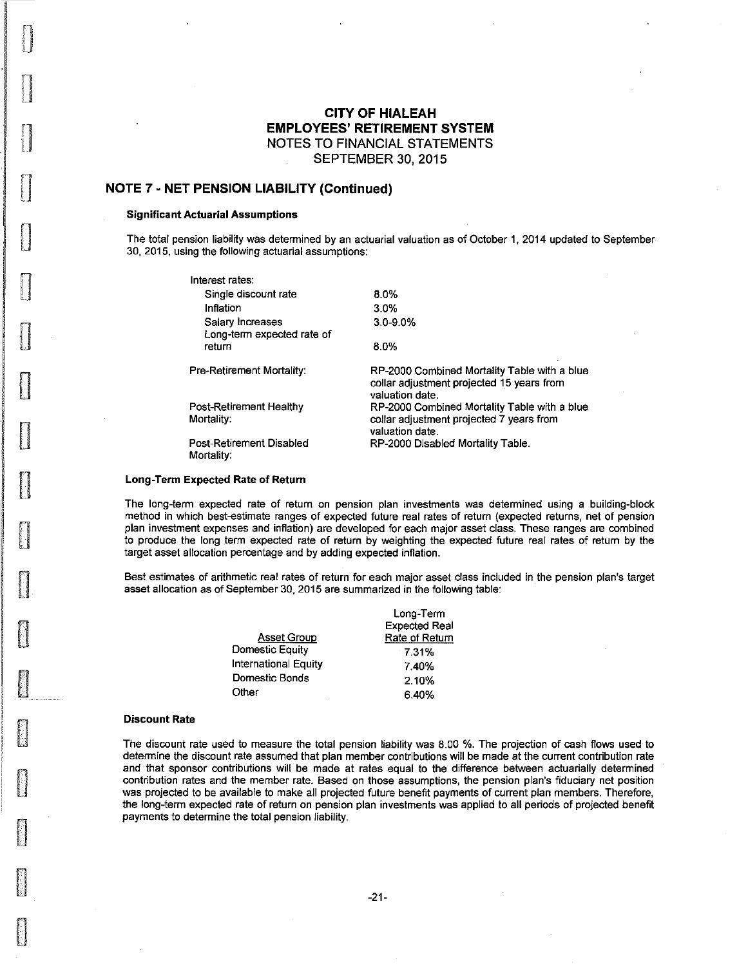# **NOTE 7 -NET PENSION LIABILITY (Continued)**

#### **Significant Actuarial Assumptions**

<u>000 - 1000 - 1000 - 1000 - 1000 - 1000 - 1000 - 1000 - 1000 - 1000 - 1000 - 1000 - 1000 - 1000 - 1000 - 1000 </u>

:<br>:<br>:<br>:  $\alpha$ 

 $\Box$ 

·D' ~ '

i r. J L

Designations of the contract of the contract of the contract of the contract of the contract of the contract of the contract of the contract of the contract of the contract of the contract of the contract of the contract o

Designation<br>Designation<br>Communication

personalistica de la provincia de la provincia de la provincia de la provincia de la provincia de la provincia<br>Desenvolvements de la provincia de la provincia de la provincia de la provincia de la provincia de la provinci

[]<br>**[**]<br>**[**]

De Bernard (d. 1979)<br>1970 - Johann Brown, Amerikaansk kanton<br>1970 - Johann Brown, Amerikaansk kanton<br>1970 - Johann Brown, Amerikaansk kanton

0

0<br>1<br>1<br>1<br>1<br>1<br>1<br>1<br>1<br>1<br>1<br>1<br>1<br>1<br>1<br>1<br>1<br>

na anns anns an t-Saonaich<br>Chomhair anns an t-Saonaich<br>Chomhair anns an t-Saonaichean

The total pension liability was determined by an actuarial valuation as of October 1, 2014 updated to September 30, 2015, using the following actuarial assumptions:

| Interest rates:                        |                                                                                                              |
|----------------------------------------|--------------------------------------------------------------------------------------------------------------|
| Single discount rate                   | 8.0%                                                                                                         |
| Inflation                              | $3.0\%$                                                                                                      |
| Salary Increases                       | $3.0 - 9.0%$                                                                                                 |
| Long-term expected rate of             |                                                                                                              |
| return                                 | 8.0%                                                                                                         |
| Pre-Retirement Mortality:              | RP-2000 Combined Mortality Table with a blue<br>collar adjustment projected 15 years from<br>valuation date. |
| Post-Retirement Healthy<br>Mortality:  | RP-2000 Combined Mortality Table with a blue<br>collar adjustment projected 7 years from<br>valuation date.  |
| Post-Retirement Disabled<br>Mortality: | RP-2000 Disabled Mortality Table.                                                                            |

#### Long-Term Expected Rate of Return

**The long-term expected rate of return on pension plan investments was determined using a building-block method in which best-estimate ranges of expected future real rates of return (expected returns, net of pension plan investment expenses and inflation) are developed for each major asset class. These ranges are combined**  to produce the long term expected rate of return by weighting the expected future real rates of return by the target asset allocation percentage and by adding expected inflation.

**Best estimates of arithmetic real rates of return for each major asset class included in the pension plan's target**  asset allocation as of September 30, 2015 are summarized in the following table:

|                      | Long-Term<br><b>Expected Real</b> |
|----------------------|-----------------------------------|
| <b>Asset Group</b>   | Rate of Return                    |
| Domestic Equity      | 7.31%                             |
| International Equity | 7.40%                             |
| Domestic Bonds       | 2.10%                             |
| Other                | 6.40%                             |
|                      |                                   |

#### Discount Rate

**The discount rate used to measure the total pension liability was 8.00 %. The projection of cash flows used to determine the discount rate assumed that plan member contributions will be made at the current contribution rate and that sponsor contributions will be made at rates equal to the difference between actuarially determined contribution rates and the member rate. Based on those assumptions, the pension plan's fiduciary net position**  was projected to be available to make all projected future benefit payments of current plan members. Therefore, the long-term expected rate of return on pension plan investments was applied to all periods of projected benefit payments to determine the total pension liability.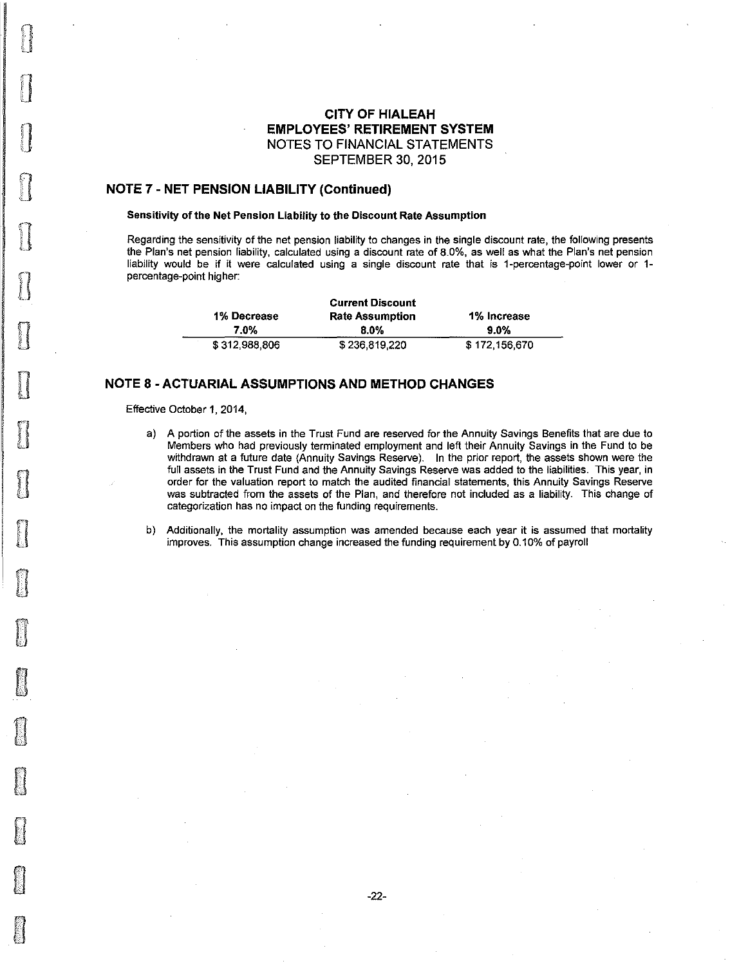# **NOTE 7 - NET PENSION LIABILITY (Continued)**

### Sensitivity of the Net Pension Liability to the Discount Rate Assumption

Regarding the sensitivity of the net pension liability to changes in the single discount rate, the following presents **the Plan's net pension liability, calculated using a discount rate of 8.0%, as well as what the Plan's net pension**  liability would be if it were calculated using a single discount rate that is 1-percentage-point lower or 1 percentage-point higher:

|                    | <b>Current Discount</b> |               |
|--------------------|-------------------------|---------------|
| <b>1% Decrease</b> | <b>Rate Assumption</b>  | 1% Increase   |
| 7.0%               | $8.0\%$                 | 9.0%          |
| \$312,988,806      | \$236.819.220           | \$172,156,670 |

### **NOTE 8 -ACTUARIAL ASSUMPTIONS AND METHOD CHANGES**

Effective October 1, 2014,

fJ

!<br>}<br>}

I 'J

flowers<br>and u (Processor)<br>Margaret (Processor)<br>Margaret (Processor)

 $\overline{\phantom{a}}$ 

 $\sqrt{2}$ 

|<br>|-<br>|<br>|

n

n

*n* 

 $\prod$ 

**000** 

- a) A portion of the assets in the Trust Fund are reserved for the Annuity Savings Benefits that are due to Members who had previously terminated employment and left their Annuity Savings in the Fund to be withdrawn at a future date (Annuity Savings Reserve). In the prior report, the assets shown were the **full assets in the Trust Fund and the Annuity Savings Reserve was added to the liabilities. This year, in order for the valuation report to match the audited financial statements, this Annuity Savings Reserve**  was subtracted from the assets of the Plan, and therefore not included as a liability. This change of **categorization has no impact on the funding requirements.**
- b) Additionally, the mortality assumption was amended because each year it is assumed that mortality **improves. This assumption change increased the funding requirement by 0.10% of payroll**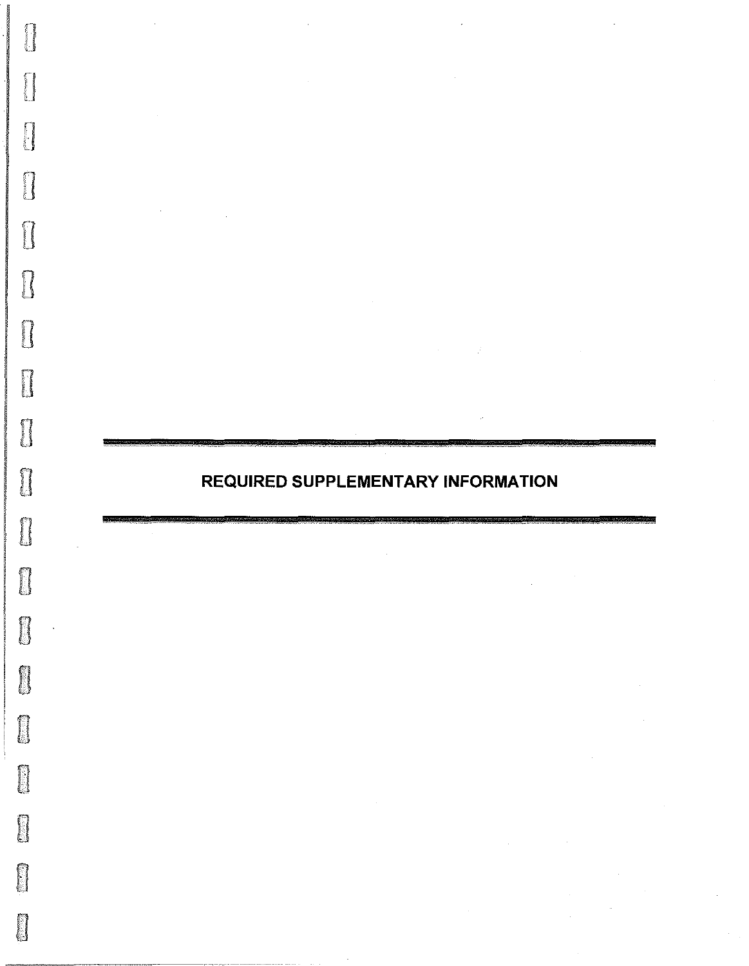# REQUIRED SUPPLEMENTARY INFORMATION

 $\sim 2$ 

 $\begin{picture}(20,20) \put(0,0){\line(1,0){155}} \put(15,0){\line(1,0){155}} \put(15,0){\line(1,0){155}} \put(15,0){\line(1,0){155}} \put(15,0){\line(1,0){155}} \put(15,0){\line(1,0){155}} \put(15,0){\line(1,0){155}} \put(15,0){\line(1,0){155}} \put(15,0){\line(1,0){155}} \put(15,0){\line(1,0){155}} \put(15,0){\line(1,0){155}} \$ 

 $\begin{bmatrix} 1 & 0 & 0 \\ 0 & 1 & 0 \\ 0 & 0 & 0 \\ 0 & 0 & 0 \\ 0 & 0 & 0 \\ 0 & 0 & 0 \\ 0 & 0 & 0 \\ 0 & 0 & 0 \\ 0 & 0 & 0 \\ 0 & 0 & 0 \\ 0 & 0 & 0 \\ 0 & 0 & 0 \\ 0 & 0 & 0 \\ 0 & 0 & 0 \\ 0 & 0 & 0 \\ 0 & 0 & 0 \\ 0 & 0 & 0 & 0 \\ 0 & 0 & 0 & 0 \\ 0 & 0 & 0 & 0 \\ 0 & 0 & 0 & 0 \\ 0 & 0 & 0 & 0 \\ 0 & 0 & 0 &$ 

 $\begin{matrix} \begin{bmatrix} 1 & 0 & 0 \\ 0 & 1 & 0 \\ 0 & 0 & 0 \\ 0 & 0 & 0 \\ 0 & 0 & 0 \\ 0 & 0 & 0 \\ 0 & 0 & 0 \\ 0 & 0 & 0 \\ 0 & 0 & 0 \\ 0 & 0 & 0 \\ 0 & 0 & 0 \\ 0 & 0 & 0 \\ 0 & 0 & 0 \\ 0 & 0 & 0 \\ 0 & 0 & 0 \\ 0 & 0 & 0 & 0 \\ 0 & 0 & 0 & 0 \\ 0 & 0 & 0 & 0 \\ 0 & 0 & 0 & 0 \\ 0 & 0 & 0 & 0 \\ 0 & 0 & 0 & 0 & 0$ 

 $\begin{bmatrix} 1 & 1 \\ 1 & 1 \\ 1 & 1 \\ 1 & 1 \\ 1 & 1 \\ 1 & 1 \\ 1 & 1 \\ 1 & 1 \\ 1 & 1 \\ 1 & 1 \\ 1 & 1 \\ 1 & 1 \\ 1 & 1 \\ 1 & 1 \\ 1 & 1 \\ 1 & 1 \\ 1 & 1 \\ 1 & 1 \\ 1 & 1 \\ 1 & 1 \\ 1 & 1 \\ 1 & 1 \\ 1 & 1 \\ 1 & 1 \\ 1 & 1 \\ 1 & 1 \\ 1 & 1 \\ 1 & 1 \\ 1 & 1 \\ 1 & 1 \\ 1 & 1 \\ 1 & 1 \\ 1 & 1 \\ 1 & 1 \\ 1 & 1 \\ 1 &$ 

 $\begin{picture}(20,20) \put(0,0){\dashbox{0.5}(20,20) \put(0,0){\dashbox{0.5}(20,20) \put(0,0){\dashbox{0.5}(20,20) \put(0,0){\dashbox{0.5}(20,20) \put(0,0){\dashbox{0.5}(20,20) \put(0,0){\dashbox{0.5}(20,20) \put(0,0){\dashbox{0.5}(20,20) \put(0,0){\dashbox{0.5}(20,20) \put(0,0){\dashbox{0.5}(20,20) \put(0,0){\dashbox{0.5}(20,20$ 

**Company**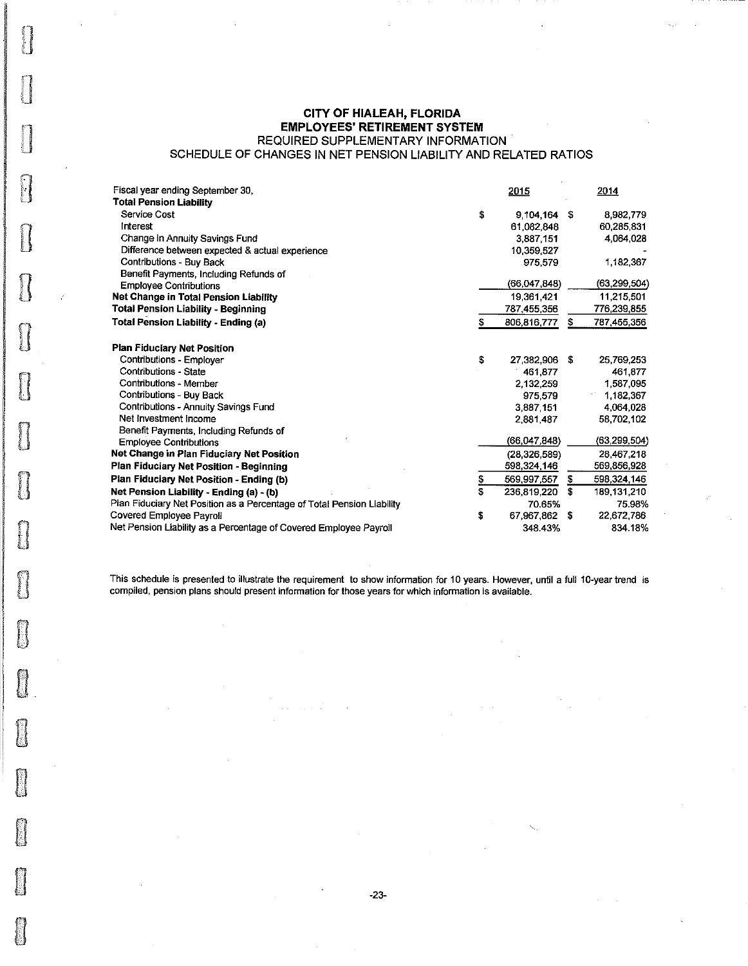### **CITY OF HIALEAH, FLORIDA EMPLOYEES' RETIREMENT SYSTEM** REQUIRED SUPPLEMENTARY INFORMATION SCHEDULE OF CHANGES IN NET PENSION LIABILITY AND RELATED RATIOS

Fiscal year ending September 30. 2014 2015 **Total Pension Liability** Service Cost  $\overline{\mathbf{s}}$ 8,982,779 9,104,164 \$ Interest 61,082,848 60,285,831 Change in Annuity Savings Fund 3,887,151 4,064,028 Difference between expected & actual experience 10,359,527 Contributions - Buy Back 975,579 1,182,367 Benefit Payments, Including Refunds of **Employee Contributions**  $(66,047,848)$  $(63, 299, 504)$ Net Change in Total Pension Liability 19,361,421 11,215,501 776,239,855 **Total Pension Liability - Beginning** 787,455,356 **Total Pension Liability - Ending (a)** 806.816.777 787,455,356 -\$ **Plan Fiduciary Net Position** Contributions - Employer  $\overline{\mathbf{s}}$ 27,382,906 \$ 25,769,253 Contributions - State 461,877 461,877 Contributions - Member 2,132,259 1,587,095 Contributions - Buy Back 975,579 1.182.367 Contributions - Annuity Savings Fund 4,064,028 3,887,151 Net Investment Income 58,702,102 2,881,487 Benefit Payments, Including Refunds of  $(66,047,848)$  $(63, 299, 504)$ **Employee Contributions** Net Change in Plan Fiduciary Net Position  $(28, 326, 589)$ 28,467,218 569,856,928 Plan Fiduciary Net Position - Beginning 598,324,146 569,997,557 598,324,146 Plan Fiduciary Net Position - Ending (b) \$ S Net Pension Liability - Ending (a) - (b) 189,131,210  $\overline{\mathbf{s}}$ 236,819,220  $\overline{\mathbf{s}}$ Plan Fiduciary Net Position as a Percentage of Total Pension Liability 70.65% 75.98% Covered Employee Payroll 22.672.786 s 67,967,862 \$ Net Pension Liability as a Percentage of Covered Employee Payroll 348.43% 834.18%

This schedule is presented to illustrate the requirement to show information for 10 years. However, until a full 10-year trend is compiled, pension plans should present information for those years for which information is available.

 $-23-$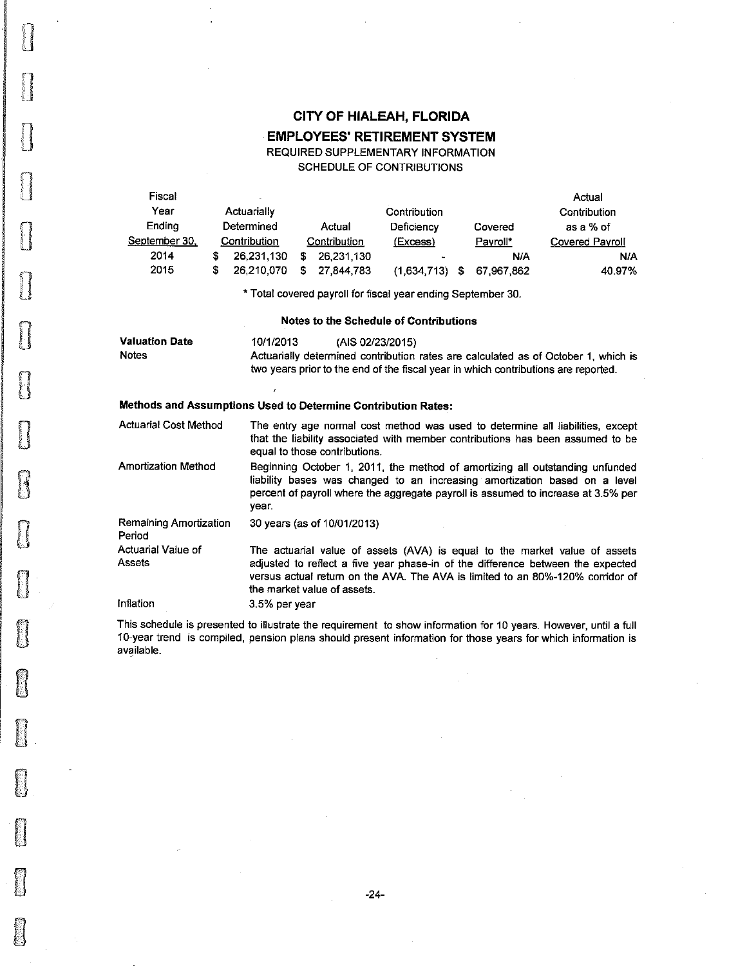# CITY **OF HIALEAH, FLORIDA EMPLOYEES' RETIREMENT SYSTEM**  REQUIRED SUPPLEMENTARY INFORMATION SCHEDULE OF CONTRIBUTIONS

ij regele voor de gewen van de gewen van de gewen van de gewen van de gewen van de gewen van de gewen van de g<br>Jere van de gewen van de gewen van de gewen van de gewen van de gewen van de gewen van de gewen van de gewen v

**000** 

<u>000 - 1000 - 1000 - 1000 - 1000 - 1000 - 1000 - 1000 - 1000 - 1000 - 1000 - 1000 - 1000 - 1000 - 1000 - 1000 </u>

~

long and the contract of the contract of the contract of the contract of the contract of the contract of the c<br>and the contract of the contract of the contract of the contract of the contract of the contract of the contrac

**Fiscal** Actual Year Ending Actuarially **Contribution Contribution Determined** Actual Deficiency Covered **as a% of**  Covered Payroll N/A 40.97% September 30, 2014 2015 **Contribution** Contribution (Excess) **Payroll\***  Valuation Date Notes \$ \$ 26,231,130 \$ 26,231,130 N/A 26,210,070 \$ 27,844,783 (1 ,634, 713) \$ 67,967,862 • Total covered payroll for fiscal year ending September 30. Notes to the Schedule of Contributions 10/1/2013 (AIS 02/23/2015) **Actuarially determined contribution rates are calculated as of October 1, which is two years prior to the end of the fiscal year in which contributions are reported. Methods and Assumptions Used to Determine Contribution Rates:**  Actuarial Cost Method Amortization Method **Remaining Amortization Period**  Actuarial Value of **Assets Inflation**  The entry age normal cost method was used to determine all liabilities, except **that the liability associated with member contributions has been assumed to be equal to those contributions.**  Beginning October 1, 2011, the method of amortizing all outstanding unfunded **liability bases was changed to an increasing amortization based on a level**  percent of payroll where the aggregate payroll is assumed to increase at 3.5% per **year.**  30 years (as of 10/01/2013) The actuarial value of assets (AVA) is equal to the market value of assets adjusted to reflect a five year phase-in of the difference between the expected **versus actual return on the AVA. The AVA is limited to an 80%-120% corridor of the market value of assets. 3.5% per year** 

**This schedule is presented to illustrate the requirement to show information for 10 years. However, until a full 1 0-year trend is compiled, pension plans should present information for those years for which information is**  available.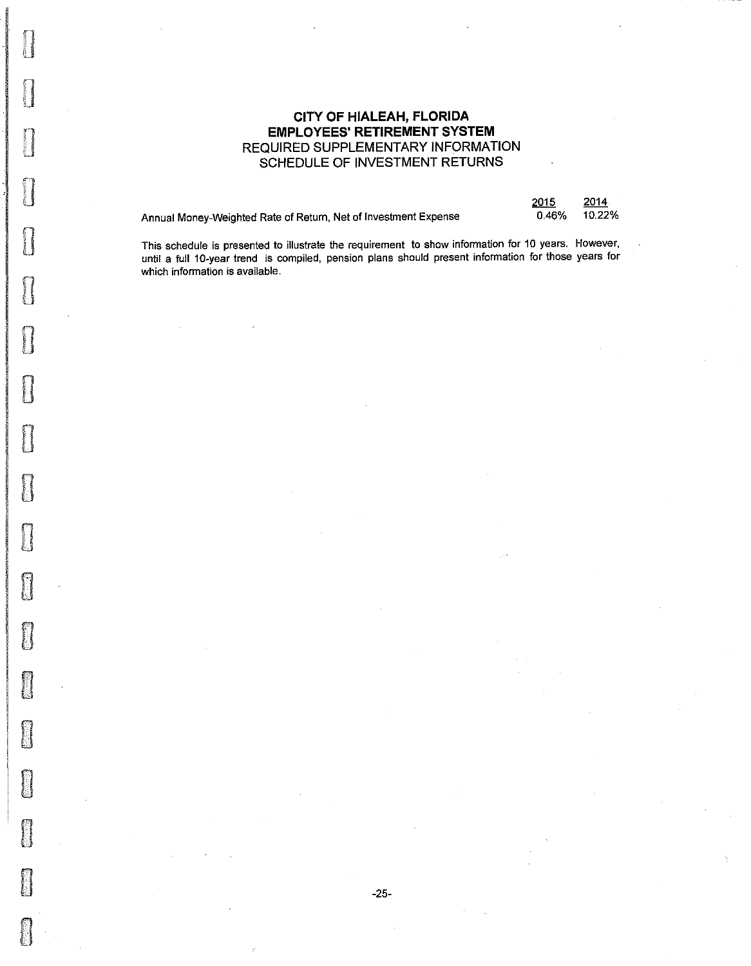# **CITY OF HIALEAH, FLORIDA EMPLOYEES' RETIREMENT SYSTEM**  REQUIRED SUPPLEMENTARY INFORMATION SCHEDULE OF INVESTMENT RETURNS

Annual Money-Weighted Rate of Return, Net of Investment Expense

. r.'.] ·.~ !'·

 $\Box$ .

in Personalist<br>**Indian Personalist**<br>**Indian Personal**ist '

 $\Box$ 

0

0

,0

' !o

fl u

0

 $\begin{matrix} \end{matrix}$ 

f]

00<br>000 metabook<br>000 metabook

**000** 

 $\Box$ 

internet<br>1930

2015 2014 0.46% 10.22%

**This schedule is presented to illustrate the requirement to show infonnation for 10 years. However,**  until a full 10-year trend is compiled, pension plans should present information for those years for **which information is available.**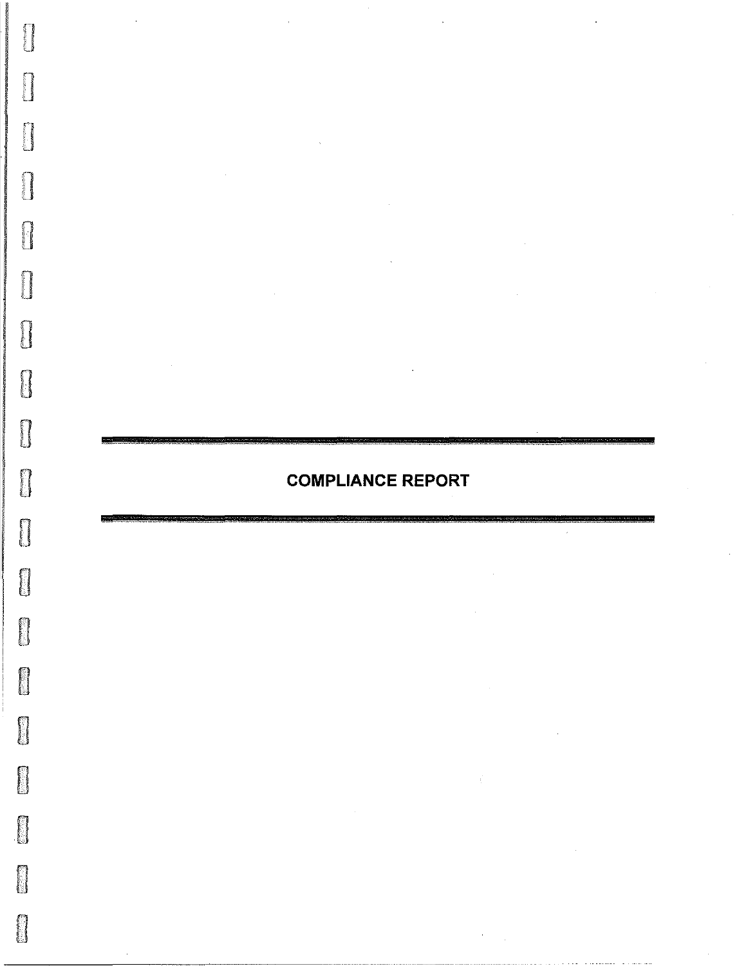# **COMPLIANCE REPORT**

 $\begin{bmatrix} 1 & 0 & 0 & 0 \\ 0 & 0 & 0 & 0 \\ 0 & 0 & 0 & 0 \\ 0 & 0 & 0 & 0 \\ 0 & 0 & 0 & 0 \\ 0 & 0 & 0 & 0 & 0 \\ 0 & 0 & 0 & 0 & 0 \\ 0 & 0 & 0 & 0 & 0 \\ 0 & 0 & 0 & 0 & 0 \\ 0 & 0 & 0 & 0 & 0 \\ 0 & 0 & 0 & 0 & 0 \\ 0 & 0 & 0 & 0 & 0 & 0 \\ 0 & 0 & 0 & 0 & 0 & 0 \\ 0 & 0 & 0 & 0 & 0 & 0 \\ 0 & 0 & 0 &$ 

 $\begin{bmatrix} 1 & 0 & 0 & 0 \\ 0 & 0 & 0 & 0 \\ 0 & 0 & 0 & 0 \\ 0 & 0 & 0 & 0 \\ 0 & 0 & 0 & 0 \\ 0 & 0 & 0 & 0 \\ 0 & 0 & 0 & 0 \\ 0 & 0 & 0 & 0 \\ 0 & 0 & 0 & 0 \\ 0 & 0 & 0 & 0 \\ 0 & 0 & 0 & 0 \\ 0 & 0 & 0 & 0 & 0 \\ 0 & 0 & 0 & 0 & 0 \\ 0 & 0 & 0 & 0 & 0 \\ 0 & 0 & 0 & 0 & 0 & 0 \\ 0 & 0 & 0 & 0 & 0 & 0 \\$ 

 $\begin{bmatrix} 1 & 0 & 0 & 0 \\ 0 & 0 & 0 & 0 \\ 0 & 0 & 0 & 0 \\ 0 & 0 & 0 & 0 \\ 0 & 0 & 0 & 0 \\ 0 & 0 & 0 & 0 \\ 0 & 0 & 0 & 0 \\ 0 & 0 & 0 & 0 \\ 0 & 0 & 0 & 0 \\ 0 & 0 & 0 & 0 \\ 0 & 0 & 0 & 0 \\ 0 & 0 & 0 & 0 \\ 0 & 0 & 0 & 0 & 0 \\ 0 & 0 & 0 & 0 & 0 \\ 0 & 0 & 0 & 0 & 0 \\ 0 & 0 & 0 & 0 & 0 \\ 0 & 0 & 0 &$ 

 $\begin{bmatrix} 1 & 1 \\ 1 & 1 \\ 1 & 1 \end{bmatrix}$ 

 $\begin{picture}(20,20) \put(0,0){\dashbox{0.5}(20,0){ }} \put(15,0){\dashbox{0.5}(20,0){ }} \put(15,0){\dashbox{0.5}(20,0){ }} \put(15,0){\dashbox{0.5}(20,0){ }} \put(15,0){\dashbox{0.5}(20,0){ }} \put(15,0){\dashbox{0.5}(20,0){ }} \put(15,0){\dashbox{0.5}(20,0){ }} \put(15,0){\dashbox{0.5}(20,0){ }} \put(15,0){\dashbox{0.5}(20,0){ }} \put(15,0){\dashbox{$ 

 $\begin{picture}(20,20) \put(0,0){\dashbox{0.5}(20,20) \put(0,0){\dashbox{0.5}(20,20) \put(0,0){\dashbox{0.5}(20,20) \put(0,0){\dashbox{0.5}(20,20) \put(0,0){\dashbox{0.5}(20,20) \put(0,0){\dashbox{0.5}(20,20) \put(0,0){\dashbox{0.5}(20,20) \put(0,0){\dashbox{0.5}(20,20) \put(0,0){\dashbox{0.5}(20,20) \put(0,0){\dashbox{0.5}(20,20$ 

**The Secondary**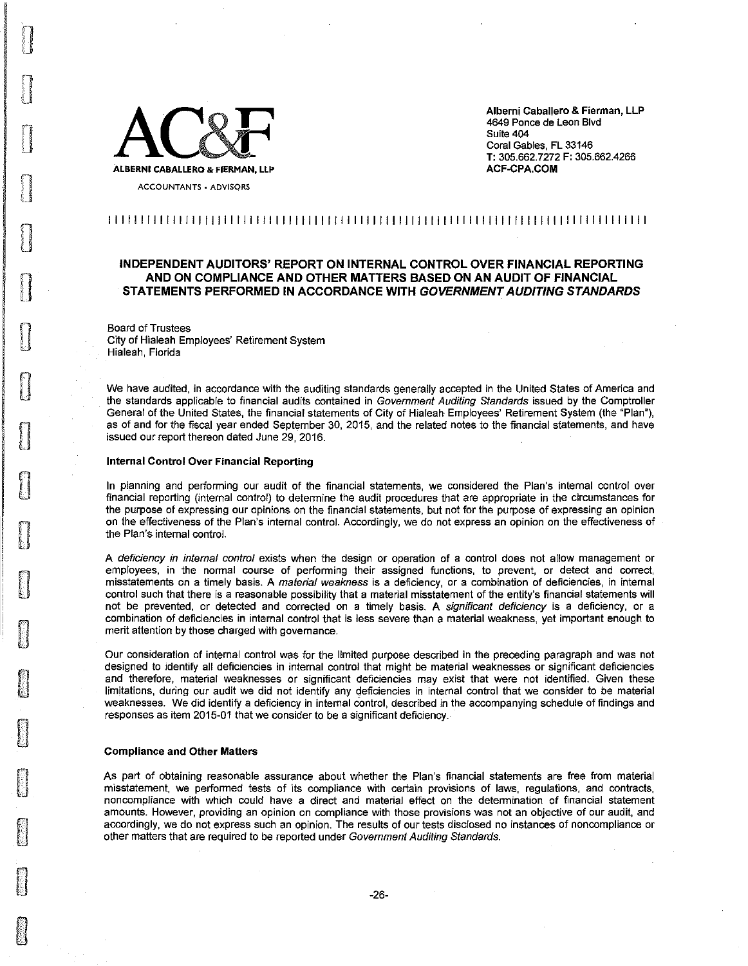

n q ... *!•* j ·,;\_\_

'] !i £ L

0 .<br>.<br>.<br>.<br>.<br>.<br>.<br>.<br>.<br>.<br>.<br><br><br><br><br><br><br><br><br><br><br><br> .<br>.<br>.<br>.

Alberni Caballero & Fierman, LLP 4649 Ponce de Leon Blvd Suite 404 Coral Gables, FL 33146 T: 305.662.7272 F: 305.662.4266 ACF-CPA.COM

### 111111111111111111111111111111111111111111111111111111111111111111111111111111111111

### INDEPENDENT AUDITORS' REPORT ON INTERNAL CONTROL OVER FINANCIAL REPORTING AND ON COMPLIANCE AND OTHER MATTERS BASED ON AN AUDIT OF FINANCIAL STATEMENTS PERFORMED IN ACCORDANCE WITH GOVERNMENT AUDITING STANDARDS

Board of Trustees City of Hialeah Employees' Retirement System Hialeah, Florida

We have audited, in accordance with the auditing standards generally accepted in the United States of America and the standards applicable to financial audits contained in Government Auditing Standards issued by the Comptroller General of the United States, the financial statements of City of Hialeah Employees' Retirement System (the "Plan"), as of and for the fiscal year ended September 30, 2015, and the related notes to the financial statements, and have issued our report thereon dated June 29, 2016.

#### Internal Control Over Financial Reporting

In planning and performing our audit of the financial statements, we considered the Plan's internal control over financial reporting (internal control) to detennine the audit procedures that are appropriate in the circumstances for the purpose of expressing our opinions on the financial statements, but not for the purpose of expressing an opinion on the effectiveness of the Plan's internal controL Accordingly, we do not express an opinion on the effectiveness of the Plan's internal control.

A deficiency in internal control exists when the design or operation of a control does not allow management or employees, in the normal course of performing their assigned functions, to prevent, or detect and correct, misstatements on a timely basis. A material weakness is a deficiency, or a combination of deficiencies, in internal control such that there is a reasonable possibility that a material misstatement of the entity's financial statements will not be prevented, or detected and corrected on a timely basis. A significant deficiency is a deficiency, or a combination of deficiencies in internal control that is less severe than a material weakness, yet important enough to merit attention by those charged with governance.

Our consideration of internal control was for the limited purpose described in the preceding paragraph and was not designed to identify all deficiencies in internal control that might be material weaknesses or significant deficiencies and therefore, material weaknesses or significant deficiencies may exist that were not identified. Given these limitations, during our audit we did not identify any qeficiencies in internal control that we consider to be material weaknesses. We did identify a deficiency in internal control, described in the accompanying schedule of findings and responses as item 2015-01 that we consider to be a significant deficiency.

#### Compliance and Other Matters

As part of obtaining reasonable assurance about whether the Plan's financial statements are free from material misstatement, we performed tests of its compliance with certain provisions of laws, regulations, and contracts, noncompliance with which could have a direct and material effect on the determination of financial statement amounts. However, providing an opinion on compliance with those provisions was not an objective of our audit, and accordingly, we do not express such an opinion. The results of our tests disclosed no instances of noncompliance or other matters that are required to be reported under Government Auditing Standards.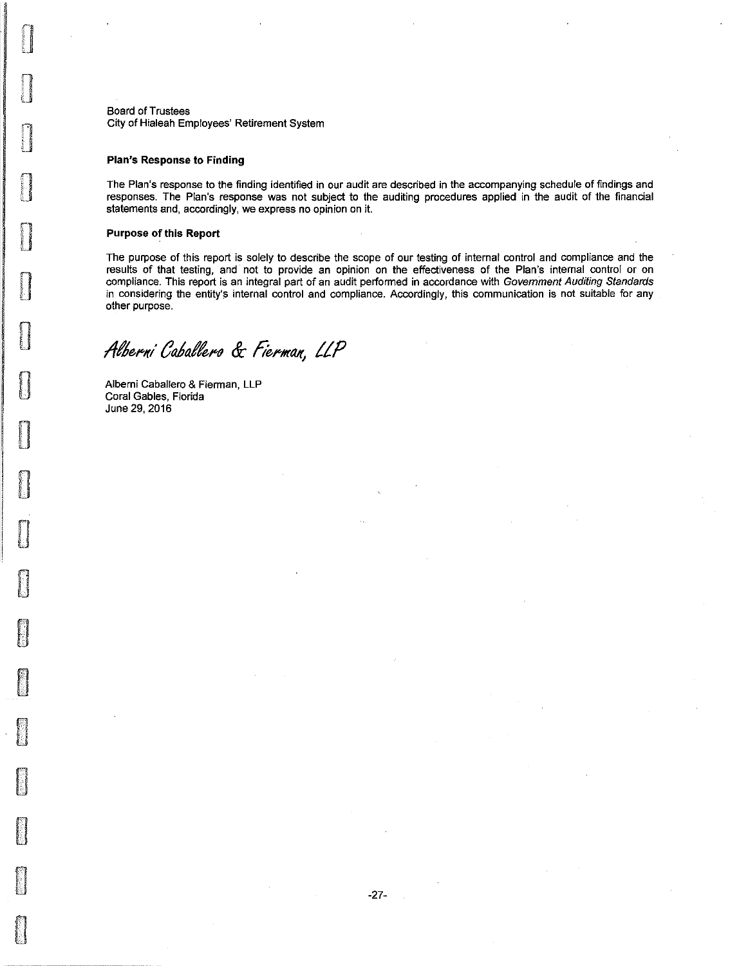Board of Trustees City of Hialeah Employees' Retirement System

### **Plan's Response to Finding**

**The Plan's response to the finding identified in our audit are described in the accompanying schedule of findings and responses. The Plan's response was not subject to the auditing procedures applied in the audit of the financial statements and, accordingly, we express no opinion on it.** 

### Purpose of this Report

 $\overline{\phantom{a}}$ 

rJ l

Zichorne<br>Brazilian L

 $\Box$ '

0<br>|-<br>|-<br>|-<br>|-<br>|-

**000** 

**000** 

 $\Box$ 

The purpose of this report is solely to describe the scope of our testing of internal control and compliance and the **results of that testing, and not to provide an opinion on the effectiveness of the Plan's internal control or on**  compliance. This report is an integral part of an audit performed in accordance with Government Auditing Standards in considering the entity's internal control and compliance. Accordingly, this communication is not suitable for any other purpose.

Alberni Caballero & Fierman, LLP

Albemi Caballero & Fierman, LLP Coral Gables, Florida June 29, 2016